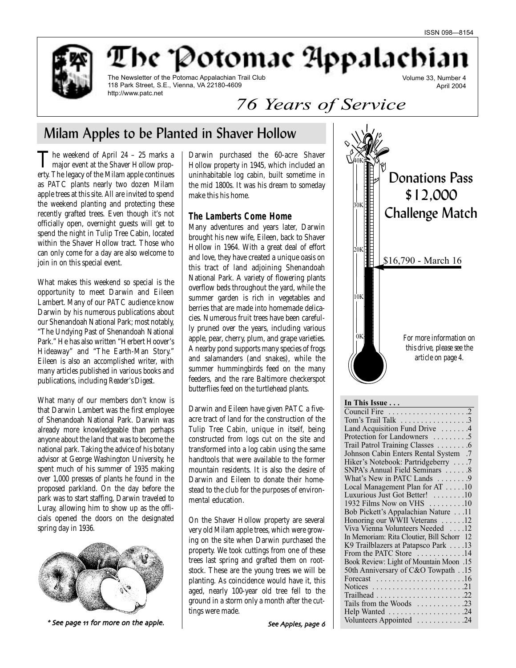

The Potomac Appalachia

The Newsletter of the Potomac Appalachian Trail Club 118 Park Street, S.E., Vienna, VA 22180-4609 http://www.patc.net

Volume 33, Number 4 April 2004

# *76 Years of Service*

## Milam Apples to be Planted in Shaver Hollow

The weekend of April 24 – 25 marks a<br>major event at the Shaver Hollow property. The legacy of the Milam apple continues as PATC plants nearly two dozen Milam apple trees at this site. All are invited to spend the weekend planting and protecting these recently grafted trees. Even though it's not officially open, overnight guests will get to spend the night in Tulip Tree Cabin, located within the Shaver Hollow tract. Those who can only come for a day are also welcome to join in on this special event.

What makes this weekend so special is the opportunity to meet Darwin and Eileen Lambert. Many of our PATC audience know Darwin by his numerous publications about our Shenandoah National Park; most notably, "The Undying Past of Shenandoah National Park." He has also written "Herbert Hoover's Hideaway" and "The Earth-Man Story." Eileen is also an accomplished writer, with many articles published in various books and publications, including *Reader's Digest*.

What many of our members don't know is that Darwin Lambert was the first employee of Shenandoah National Park. Darwin was already more knowledgeable than perhaps anyone about the land that was to become the national park. Taking the advice of his botany advisor at George Washington University, he spent much of his summer of 1935 making over 1,000 presses of plants he found in the proposed parkland. On the day before the park was to start staffing, Darwin traveled to Luray, allowing him to show up as the officials opened the doors on the designated spring day in 1936.



\* See page 11 for more on the apple.

Darwin purchased the 60-acre Shaver Hollow property in 1945, which included an uninhabitable log cabin, built sometime in the mid 1800s. It was his dream to someday make this his home.

#### **The Lamberts Come Home**

Many adventures and years later, Darwin brought his new wife, Eileen, back to Shaver Hollow in 1964. With a great deal of effort and love, they have created a unique oasis on this tract of land adjoining Shenandoah National Park. A variety of flowering plants overflow beds throughout the yard, while the summer garden is rich in vegetables and berries that are made into homemade delicacies. Numerous fruit trees have been carefully pruned over the years, including various apple, pear, cherry, plum, and grape varieties. A nearby pond supports many species of frogs and salamanders (and snakes), while the summer hummingbirds feed on the many feeders, and the rare Baltimore checkerspot butterflies feed on the turtlehead plants.

Darwin and Eileen have given PATC a fiveacre tract of land for the construction of the Tulip Tree Cabin, unique in itself, being constructed from logs cut on the site and transformed into a log cabin using the same handtools that were available to the former mountain residents. It is also the desire of Darwin and Eileen to donate their homestead to the club for the purposes of environmental education.

On the Shaver Hollow property are several very old Milam apple trees, which were growing on the site when Darwin purchased the property. We took cuttings from one of these trees last spring and grafted them on rootstock. These are the young trees we will be planting. As coincidence would have it, this aged, nearly 100-year old tree fell to the ground in a storm only a month after the cuttings were made.



#### **In This Issue . . .**

| Tom's Trail Talk 3                                                |
|-------------------------------------------------------------------|
| Land Acquisition Fund Drive 4                                     |
| Protection for Landowners 5                                       |
| Trail Patrol Training Classes 6                                   |
| Johnson Cabin Enters Rental System .7                             |
| Hiker's Notebook: Partridgeberry 7                                |
| SNPA's Annual Field Seminars 8                                    |
| What's New in PATC Lands 9                                        |
| Local Management Plan for AT 10                                   |
| Luxurious Just Got Better! 10                                     |
| 1932 Films Now on VHS 10                                          |
| Bob Pickett's Appalachian Nature 11                               |
| Honoring our WWII Veterans 12                                     |
| Viva Vienna Volunteers Needed 12                                  |
| In Memoriam: Rita Cloutier, Bill Schorr 12                        |
| K9 Trailblazers at Patapsco Park 13                               |
| From the PATC Store 14                                            |
| Book Review: Light of Mountain Moon .15                           |
| 50th Anniversary of C&O Towpath15                                 |
| Forecast $\ldots \ldots \ldots \ldots \ldots \ldots 16$           |
| Notices $\ldots \ldots \ldots \ldots \ldots \ldots \ldots \ldots$ |
|                                                                   |
| Tails from the Woods 23                                           |
| Help Wanted 24                                                    |
| Volunteers Appointed 24                                           |
|                                                                   |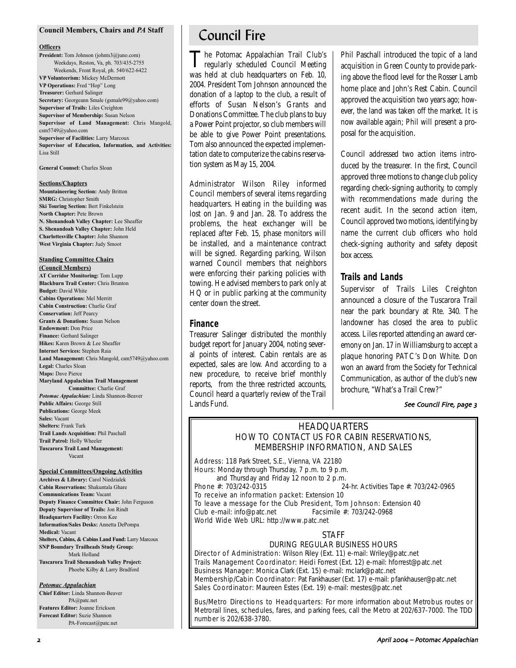#### **Council Members, Chairs and** *PA* **Staff**

#### **Officers**

**President:** Tom Johnson (johnts3@juno.com) Weekdays, Reston, Va, ph. 703/435-2755 Weekends, Front Royal, ph. 540/622-6422 **VP Volunteerism:** Mickey McDermott **VP Operations:** Fred "Hop" Long **Treasurer:** Gerhard Salinger **Secretary:** Georgeann Smale (gsmale99@yahoo.com) **Supervisor of Trails:** Liles Creighton **Supervisor of Membership:** Susan Nelson **Supervisor of Land Management:** Chris Mangold, csm5749@yahoo.com **Supervisor of Facilities:** Larry Marcoux **Supervisor of Education, Information, and Activities:** Lisa Still

**General Counsel:** Charles Sloan

#### **Sections/Chapters**

**Mountaineering Section:** Andy Britton **SMRG:** Christopher Smith **Ski Touring Section:** Bert Finkelstein **North Chapter:** Pete Brown **N. Shenandoah Valley Chapter:** Lee Sheaffer **S. Shenandoah Valley Chapter:** John Held **Charlottesville Chapter:** John Shannon **West Virginia Chapter:** Judy Smoot

### **Standing Committee Chairs**

**(Council Members) AT Corridor Monitoring:** Tom Lupp **Blackburn Trail Center:** Chris Brunton **Budget:** David White **Cabins Operations:** Mel Merritt **Cabin Construction:** Charlie Graf **Conservation:** Jeff Pearcy **Grants & Donations:** Susan Nelson **Endowment:** Don Price **Finance:** Gerhard Salinger **Hikes:** Karen Brown & Lee Sheaffer **Internet Services:** Stephen Raia **Land Management:** Chris Mangold, csm5749@yahoo.com **Legal:** Charles Sloan **Maps:** Dave Pierce **Maryland Appalachian Trail Management Committee:** Charlie Graf *Potomac Appalachian:* Linda Shannon-Beaver **Public Affairs:** George Still **Publications:** George Meek **Sales:** Vacant **Shelters:** Frank Turk **Trail Lands Acquisition:** Phil Paschall **Trail Patrol:** Holly Wheeler **Tuscarora Trail Land Management:**

Vacant

#### **Special Committees/Ongoing Activities**

**Archives & Library:** Carol Niedzialek **Cabin Reservations:** Shakuntala Ghare **Communications Team:** Vacant **Deputy Finance Committee Chair:** John Ferguson **Deputy Supervisor of Trails:** Jon Rindt **Headquarters Facility:** Orron Kee **Information/Sales Desks:** Annetta DePompa **Medical:** Vacant **Shelters, Cabins, & Cabins Land Fund:** Larry Marcoux **SNP Boundary Trailheads Study Group:** Mark Holland

**Tuscarora Trail Shenandoah Valley Project:** Phoebe Kilby & Larry Bradford

#### *Potomac Appalachian*

**Chief Editor:** Linda Shannon-Beaver PA@patc.net **Features Editor:** Joanne Erickson **Forecast Editor:** Suzie Shannon PA-Forecast@patc.net

## Council Fire

The Potomac Appalachian Trail Club's<br>regularly scheduled Council Meeting was held at club headquarters on Feb. 10, 2004. President Tom Johnson announced the donation of a laptop to the club, a result of efforts of Susan Nelson's Grants and Donations Committee. The club plans to buy a Power Point projector, so club members will be able to give Power Point presentations. Tom also announced the expected implementation date to computerize the cabins reservation system as May 15, 2004.

Administrator Wilson Riley informed Council members of several items regarding headquarters. Heating in the building was lost on Jan. 9 and Jan. 28. To address the problems, the heat exchanger will be replaced after Feb. 15, phase monitors will be installed, and a maintenance contract will be signed. Regarding parking, Wilson warned Council members that neighbors were enforcing their parking policies with towing. He advised members to park only at HQ or in public parking at the community center down the street.

#### **Finance**

Treasurer Salinger distributed the monthly budget report for January 2004, noting several points of interest. Cabin rentals are as expected, sales are low. And according to a new procedure, to receive brief monthly reports, from the three restricted accounts, Council heard a quarterly review of the Trail Lands Fund.

Phil Paschall introduced the topic of a land acquisition in Green County to provide parking above the flood level for the Rosser Lamb home place and John's Rest Cabin. Council approved the acquisition two years ago; however, the land was taken off the market. It is now available again; Phil will present a proposal for the acquisition.

Council addressed two action items introduced by the treasurer. In the first, Council approved three motions to change club policy regarding check-signing authority, to comply with recommendations made during the recent audit. In the second action item, Council approved two motions, identifying by name the current club officers who hold check-signing authority and safety deposit box access.

#### **Trails and Lands**

Supervisor of Trails Liles Creighton announced a closure of the Tuscarora Trail near the park boundary at Rte. 340. The landowner has closed the area to public access. Liles reported attending an award ceremony on Jan. 17 in Williamsburg to accept a plaque honoring PATC's Don White. Don won an award from the Society for Technical Communication, as author of the club's new brochure, "What's a Trail Crew?"

#### See Council Fire, page 3

### HEADQUARTERS HOW TO CONTACT US FOR CABIN RESERVATIONS, MEMBERSHIP INFORMATION, AND SALES

Address: 118 Park Street, S.E., Vienna, VA 22180 Hours: Monday through Thursday, 7 p.m. to 9 p.m.

and Thursday and Friday 12 noon to 2 p.m.<br>Phone  $\#$ : 703/242-0315 24-hr. Activities Tape #: 703/242-0965

To receive an information packet: Extension 10 To leave a message for the Club President, Tom Johnson: Extension 40 Club e-mail: info@patc.net Facsimile #: 703/242-0968 World Wide Web URL: http://www.patc.net

#### STAFF

#### DURING REGULAR BUSINESS HOURS

Director of Administration: Wilson Riley (Ext. 11) e-mail: Wriley@patc.net Trails Management Coordinator: Heidi Forrest (Ext. 12) e-mail: hforrest@patc.net Business Manager: Monica Clark (Ext. 15) e-mail: mclark@patc.net Membership/Cabin Coordinator: Pat Fankhauser (Ext. 17) e-mail: pfankhauser@patc.net Sales Coordinator: Maureen Estes (Ext. 19) e-mail: mestes@patc.net

Bus/Metro Directions to Headquarters: For more information about Metrobus routes or Metrorail lines, schedules, fares, and parking fees, call the Metro at 202/637-7000. The TDD number is 202/638-3780.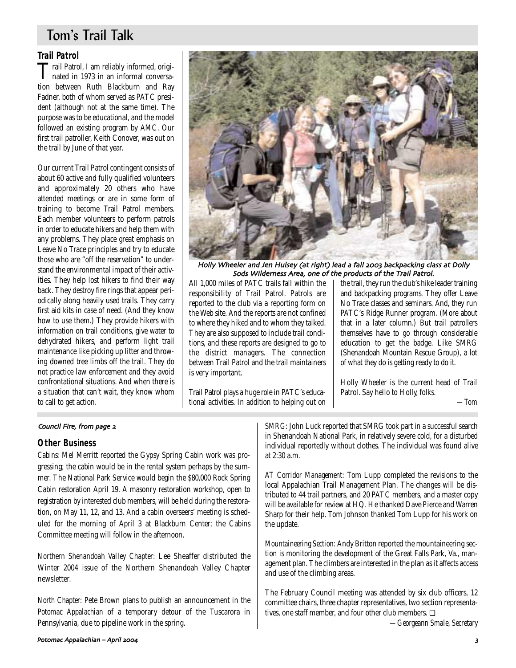## Tom's Trail Talk

### **Trail Patrol**

Trail Patrol, I am reliably informed, origi-nated in 1973 in an informal conversation between Ruth Blackburn and Ray Fadner, both of whom served as PATC president (although not at the same time). The purpose was to be educational, and the model followed an existing program by AMC. Our first trail patroller, Keith Conover, was out on the trail by June of that year.

Our current Trail Patrol contingent consists of about 60 active and fully qualified volunteers and approximately 20 others who have attended meetings or are in some form of training to become Trail Patrol members. Each member volunteers to perform patrols in order to educate hikers and help them with any problems. They place great emphasis on Leave No Trace principles and try to educate those who are "off the reservation" to understand the environmental impact of their activities. They help lost hikers to find their way back. They destroy fire rings that appear periodically along heavily used trails. They carry first aid kits in case of need. (And they know how to use them.) They provide hikers with information on trail conditions, give water to dehydrated hikers, and perform light trail maintenance like picking up litter and throwing downed tree limbs off the trail. They do not practice law enforcement and they avoid confrontational situations. And when there is a situation that can't wait, they know whom to call to get action.



Holly Wheeler and Jen Hulsey (at right) lead a fall 2003 backpacking class at Dolly Sods Wilderness Area, one of the products of the Trail Patrol.

All 1,000 miles of PATC trails fall within the responsibility of Trail Patrol. Patrols are reported to the club via a reporting form on the Web site. And the reports are not confined to where they hiked and to whom they talked. They are also supposed to include trail conditions, and these reports are designed to go to the district managers. The connection between Trail Patrol and the trail maintainers is very important.

Trail Patrol plays a huge role in PATC's educational activities. In addition to helping out on the trail, they run the club's hike leader training and backpacking programs. They offer Leave No Trace classes and seminars. And, they run PATC's Ridge Runner program. (More about that in a later column.) But trail patrollers themselves have to go through considerable education to get the badge. Like SMRG (Shenandoah Mountain Rescue Group), a lot of what they do is getting ready to do it.

Holly Wheeler is the current head of Trail Patrol. Say hello to Holly, folks.

*—Tom*

#### Council Fire, from page 2

#### **Other Business**

*Cabins:* Mel Merritt reported the Gypsy Spring Cabin work was progressing; the cabin would be in the rental system perhaps by the summer. The National Park Service would begin the \$80,000 Rock Spring Cabin restoration April 19. A masonry restoration workshop, open to registration by interested club members, will be held during the restoration, on May 11, 12, and 13. And a cabin overseers' meeting is scheduled for the morning of April 3 at Blackburn Center; the Cabins Committee meeting will follow in the afternoon.

*Northern Shenandoah Valley Chapter:* Lee Sheaffer distributed the Winter 2004 issue of the Northern Shenandoah Valley Chapter newsletter.

*North Chapter:* Pete Brown plans to publish an announcement in the *Potomac Appalachian* of a temporary detour of the Tuscarora in Pennsylvania, due to pipeline work in the spring.

*SMRG:* John Luck reported that SMRG took part in a successful search in Shenandoah National Park, in relatively severe cold, for a disturbed individual reportedly without clothes. The individual was found alive at 2:30 a.m.

*AT Corridor Management:* Tom Lupp completed the revisions to the local Appalachian Trail Management Plan. The changes will be distributed to 44 trail partners, and 20 PATC members, and a master copy will be available for review at HQ. He thanked Dave Pierce and Warren Sharp for their help. Tom Johnson thanked Tom Lupp for his work on the update.

*Mountaineering Section:* Andy Britton reported the mountaineering section is monitoring the development of the Great Falls Park, Va., management plan. The climbers are interested in the plan as it affects access and use of the climbing areas.

The February Council meeting was attended by six club officers, 12 committee chairs, three chapter representatives, two section representatives, one staff member, and four other club members. ❏

*—Georgeann Smale, Secretary*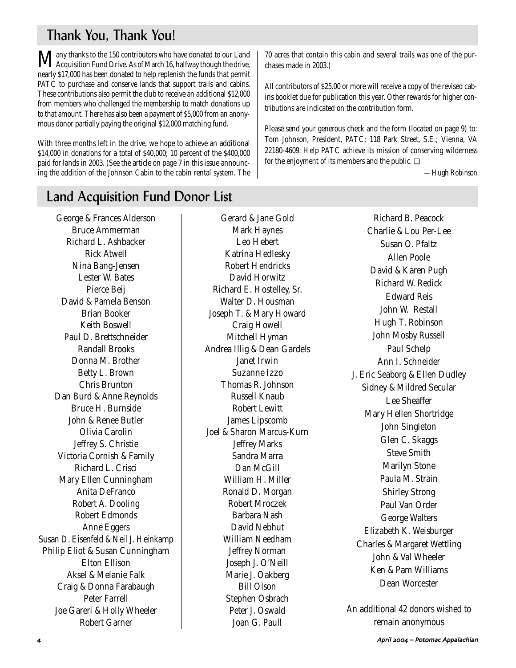## Thank You, Thank You!

Many thanks to the 150 contributors who have donated to our Land<br>Acquisition Fund Drive. As of March 16, halfway though the drive, nearly \$17,000 has been donated to help replenish the funds that permit PATC to purchase and conserve lands that support trails and cabins. These contributions also permit the club to receive an additional \$12,000 from members who challenged the membership to match donations up to that amount. There has also been a payment of \$5,000 from an anonymous donor partially paying the original \$12,000 matching fund.

With three months left in the drive, we hope to achieve an additional \$14,000 in donations for a total of \$40,000; 10 percent of the \$400,000 paid for lands in 2003. (See the article on page 7 in this issue announcing the addition of the Johnson Cabin to the cabin rental system. The

## Land Acquisition Fund Donor List

George & Frances Alderson Bruce Ammerman Richard L. Ashbacker Rick Atwell Nina Bang-Jensen Lester W. Bates Pierce Beij David & Pamela Benson Brian Booker Keith Boswell Paul D. Brettschneider Randall Brooks Donna M. Brother Betty L. Brown Chris Brunton Dan Burd & Anne Reynolds Bruce H. Burnside John & Renee Butler Olivia Carolin Jeffrey S. Christie Victoria Cornish & Family Richard L. Crisci Mary Ellen Cunningham Anita DeFranco Robert A. Dooling Robert Edmonds Anne Eggers Susan D. Eisenfeld & Neil J. Heinkamp Philip Eliot & Susan Cunningham Elton Ellison Aksel & Melanie Falk Craig & Donna Farabaugh Peter Farrell Joe Gareri & Holly Wheeler Robert Garner

Gerard & Jane Gold Mark Haynes Leo Hebert Katrina Hedlesky Robert Hendricks David Horwitz Richard E. Hostelley, Sr. Walter D. Housman Joseph T. & Mary Howard Craig Howell Mitchell Hyman Andrea Illig & Dean Gardels Janet Irwin Suzanne Izzo Thomas R. Johnson Russell Knaub Robert Lewitt James Lipscomb Joel & Sharon Marcus-Kurn Jeffrey Marks Sandra Marra Dan McGill William H. Miller Ronald D. Morgan Robert Mroczek Barbara Nash David Nebhut William Needham Jeffrey Norman Joseph J. O'Neill Marie J. Oakberg Bill Olson Stephen Osbrach Peter J. Oswald Joan G. Paull

70 acres that contain this cabin and several trails was one of the purchases made in 2003.)

All contributors of \$25.00 or more will receive a copy of the revised cabins booklet due for publication this year. Other rewards for higher contributions are indicated on the contribution form.

Please send your generous check and the form (located on page 9) to: Tom Johnson, President, PATC; 118 Park Street, S.E.; Vienna, VA 22180-4609. Help PATC achieve its mission of conserving wilderness for the enjoyment of its members and the public.  $\Box$ 

*—Hugh Robinson*

Richard B. Peacock Charlie & Lou Per-Lee Susan O. Pfaltz Allen Poole David & Karen Pugh Richard W. Redick Edward Reis John W. Restall Hugh T. Robinson John Mosby Russell Paul Schelp Ann I. Schneider J. Eric Seaborg & Ellen Dudley Sidney & Mildred Secular Lee Sheaffer Mary Hellen Shortridge John Singleton Glen C. Skaggs Steve Smith Marilyn Stone Paula M. Strain Shirley Strong Paul Van Order George Walters Elizabeth K. Weisburger Charles & Margaret Wettling John & Val Wheeler Ken & Pam Williams Dean Worcester

An additional 42 donors wished to remain anonymous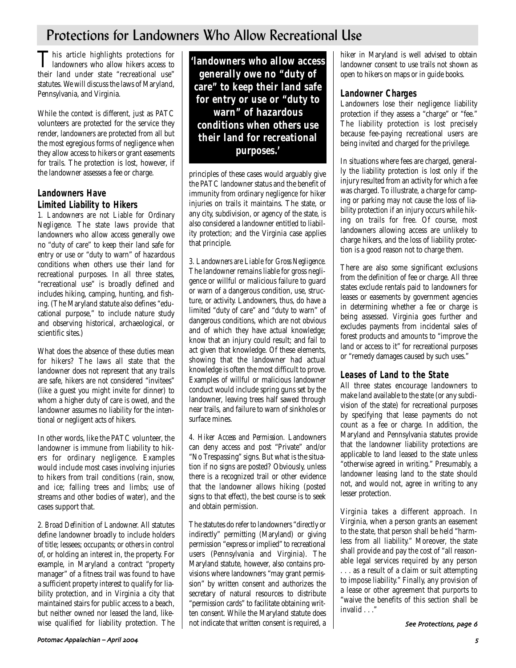## Protections for Landowners Who Allow Recreational Use

This article highlights protections for<br>landowners who allow hikers access to their land under state "recreational use" statutes. We will discuss the laws of Maryland, Pennsylvania, and Virginia.

While the context is different, just as PATC volunteers are protected for the service they render, landowners are protected from all but the most egregious forms of negligence when they allow access to hikers or grant easements for trails. The protection is lost, however, if the landowner assesses a fee or charge.

### **Landowners Have Limited Liability to Hikers**

*1. Landowners are not Liable for Ordinary Negligence.* The state laws provide that landowners who allow access generally owe no "duty of care" to keep their land safe for entry or use or "duty to warn" of hazardous conditions when others use their land for recreational purposes. In all three states, "recreational use" is broadly defined and includes hiking, camping, hunting, and fishing. (The Maryland statute also defines "educational purpose," to include nature study and observing historical, archaeological, or scientific sites.)

What does the absence of these duties mean for hikers? The laws all state that the landowner does not represent that any trails are safe, hikers are not considered "invitees" (like a guest you might invite for dinner) to whom a higher duty of care is owed, and the landowner assumes no liability for the intentional or negligent acts of hikers.

In other words, like the PATC volunteer, the landowner is immune from liability to hikers for ordinary negligence. Examples would include most cases involving injuries to hikers from trail conditions (rain, snow, and ice; falling trees and limbs; use of streams and other bodies of water), and the cases support that.

*2. Broad Definition of Landowner.* All statutes define landowner broadly to include holders of title; lessees; occupants; or others in control of, or holding an interest in, the property. For example, in Maryland a contract "property manager" of a fitness trail was found to have a sufficient property interest to qualify for liability protection, and in Virginia a city that maintained stairs for public access to a beach, but neither owned nor leased the land, likewise qualified for liability protection. The

**'landowners who allow access generally owe no "duty of care" to keep their land safe for entry or use or "duty to warn" of hazardous conditions when others use their land for recreational purposes.'**

principles of these cases would arguably give the PATC landowner status and the benefit of immunity from ordinary negligence for hiker injuries on trails it maintains. The state, or any city, subdivision, or agency of the state, is also considered a landowner entitled to liability protection; and the Virginia case applies that principle.

*3. Landowners are Liable for Gross Negligence.* The landowner remains liable for gross negligence or willful or malicious failure to guard or warn of a dangerous condition, use, structure, or activity. Landowners, thus, do have a limited "duty of care" and "duty to warn" of dangerous conditions, which are not obvious and of which they have actual knowledge; know that an injury could result; and fail to act given that knowledge. Of these elements, showing that the landowner had actual knowledge is often the most difficult to prove. Examples of willful or malicious landowner conduct would include spring guns set by the landowner, leaving trees half sawed through near trails, and failure to warn of sinkholes or surface mines.

*4. Hiker Access and Permission.* Landowners can deny access and post "Private" and/or "No Trespassing" signs. But what is the situation if no signs are posted? Obviously, unless there is a recognized trail or other evidence that the landowner allows hiking (posted signs to that effect), the best course is to seek and obtain permission.

The statutes do refer to landowners "directly or indirectly" permitting (Maryland) or giving permission "express or implied" to recreational users (Pennsylvania and Virginia). The Maryland statute, however, also contains provisions where landowners "may grant permission" by written consent and authorizes the secretary of natural resources to distribute "permission cards" to facilitate obtaining written consent. While the Maryland statute does not indicate that written consent is required, a hiker in Maryland is well advised to obtain landowner consent to use trails not shown as open to hikers on maps or in guide books.

### **Landowner Charges**

Landowners lose their negligence liability protection if they assess a "charge" or "fee." The liability protection is lost precisely because fee-paying recreational users are being invited and charged for the privilege.

In situations where fees are charged, generally the liability protection is lost only if the injury resulted from an activity for which a fee was charged. To illustrate, a charge for camping or parking may not cause the loss of liability protection if an injury occurs while hiking on trails for free. Of course, most landowners allowing access are unlikely to charge hikers, and the loss of liability protection is a good reason not to charge them.

There are also some significant exclusions from the definition of fee or charge. All three states exclude rentals paid to landowners for leases or easements by government agencies in determining whether a fee or charge is being assessed. Virginia goes further and excludes payments from incidental sales of forest products and amounts to "improve the land or access to it" for recreational purposes or "remedy damages caused by such uses."

### **Leases of Land to the State**

All three states encourage landowners to make land available to the state (or any subdivision of the state) for recreational purposes by specifying that lease payments do not count as a fee or charge. In addition, the Maryland and Pennsylvania statutes provide that the landowner liability protections are applicable to land leased to the state unless "otherwise agreed in writing." Presumably, a landowner leasing land to the state should not, and would not, agree in writing to any lesser protection.

Virginia takes a different approach. In Virginia, when a person grants an easement to the state, that person shall be held "harmless from all liability." Moreover, the state shall provide and pay the cost of "all reasonable legal services required by any person . . . as a result of a claim or suit attempting to impose liability." Finally, any provision of a lease or other agreement that purports to "waive the benefits of this section shall be invalid . . ."

See Protections, page 6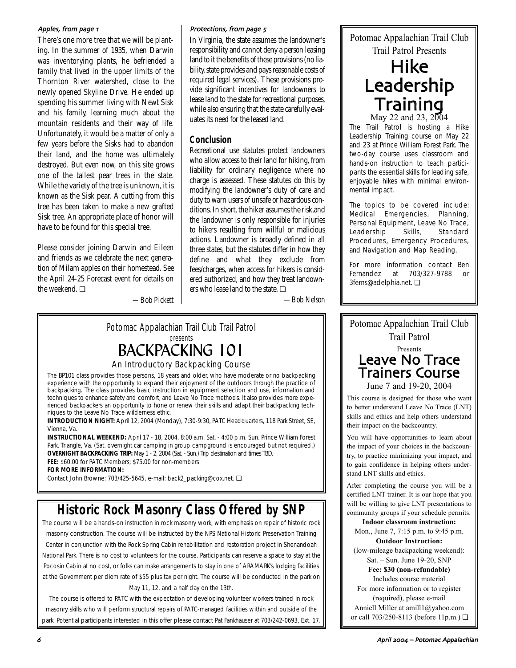There's one more tree that we will be planting. In the summer of 1935, when Darwin was inventorying plants, he befriended a family that lived in the upper limits of the Thornton River watershed, close to the newly opened Skyline Drive. He ended up spending his summer living with Newt Sisk and his family, learning much about the mountain residents and their way of life. Unfortunately, it would be a matter of only a few years before the Sisks had to abandon their land, and the home was ultimately destroyed. But even now, on this site grows one of the tallest pear trees in the state. While the variety of the tree is unknown, it is known as the Sisk pear. A cutting from this tree has been taken to make a new grafted Sisk tree. An appropriate place of honor will have to be found for this special tree.

Please consider joining Darwin and Eileen and friends as we celebrate the next generation of Milam apples on their homestead. See the April 24-25 Forecast event for details on the weekend. ❏

*—Bob Pickett*

#### Apples, from page 1 and the state of the protections, from page 5

In Virginia, the state assumes the landowner's responsibility and cannot deny a person leasing land to it the benefits of these provisions (no liability, state provides and pays reasonable costs of required legal services). These provisions provide significant incentives for landowners to lease land to the state for recreational purposes, while also ensuring that the state carefully evaluates its need for the leased land.

### **Conclusion**

Recreational use statutes protect landowners who allow access to their land for hiking, from liability for ordinary negligence where no charge is assessed. These statutes do this by modifying the landowner's duty of care and duty to warn users of unsafe or hazardous conditions. In short, the hiker assumes the risk,and the landowner is only responsible for injuries to hikers resulting from willful or malicious actions. Landowner is broadly defined in all three states, but the statutes differ in how they define and what they exclude from fees/charges, when access for hikers is considered authorized, and how they treat landowners who lease land to the state. ❏

*—Bob Nelson*

## Potomac Appalachian Trail Club Trail Patrol presents BACKPACKING 101

## An Introductory Backpacking Course

The BP101 class provides those persons, 18 years and older, who have moderate or no backpacking experience with the opportunity to expand their enjoyment of the outdoors through the practice of backpacking. The class provides basic instruction in equipment selection and use, information and techniques to enhance safety and comfort, and Leave No Trace methods. It also provides more experienced backpackers an opportunity to hone or renew their skills and adapt their backpacking techniques to the Leave No Trace wilderness ethic.

**INTRODUCTION NIGHT:** April 12, 2004 (Monday), 7:30-9:30, PATC Headquarters, 118 Park Street, SE, Vienna, Va.

**INSTRUCTIONAL WEEKEND:** April 17 - 18, 2004, 8:00 a.m. Sat. - 4:00 p.m. Sun. Prince William Forest Park, Triangle, Va. (Sat. overnight car camping in group campground is encouraged but not required.) **OVERNIGHT BACKPACKING TRIP:** May 1 - 2, 2004 (Sat. - Sun.) Trip destination and times TBD. **FEE:** \$60.00 for PATC Members; \$75.00 for non-members

**FOR MORE INFORMATION:**

Contact John Browne: 703/425-5645, e-mail: back2\_packing@cox.net. ❏

## **Historic Rock Masonry Class Offered by SNP**

The course will be a hands-on instruction in rock masonry work, with emphasis on repair of historic rock masonry construction. The course will be instructed by the NPS National Historic Preservation Training Center in conjunction with the Rock Spring Cabin rehabilitation and restoration project in Shenandoah National Park. There is no cost to volunteers for the course. Participants can reserve a space to stay at the Pocosin Cabin at no cost, or folks can make arrangements to stay in one of ARAMARK's lodging facilities at the Government per diem rate of \$55 plus tax per night. The course will be conducted in the park on May 11, 12, and a half day on the 13th.

The course is offered to PATC with the expectation of developing volunteer workers trained in rock masonry skills who will perform structural repairs of PATC-managed facilities within and outside of the park. Potential participants interested in this offer please contact Pat Fankhauser at 703/242-0693, Ext. 17. Potomac Appalachian Trail Club Trail Patrol Presents

## Hike Leadership **Training** May 22 and 23, 2004

The Trail Patrol is hosting a Hike Leadership Training course on May 22 and 23 at Prince William Forest Park. The two-day course uses classroom and hands-on instruction to teach participants the essential skills for leading safe, enjoyable hikes with minimal environmental impact.

The topics to be covered include: Medical Emergencies, Planning, Personal Equipment, Leave No Trace, Leadership Skills, Standard Procedures, Emergency Procedures, and Navigation and Map Reading.

For more information contact Ben Fernandez at 703/327-9788 or 3ferns@adelphia.net. ❏



June 7 and 19-20, 2004

This course is designed for those who want to better understand Leave No Trace (LNT) skills and ethics and help others understand their impact on the backcountry.

You will have opportunities to learn about the impact of your choices in the backcountry, to practice minimizing your impact, and to gain confidence in helping others understand LNT skills and ethics.

After completing the course you will be a certified LNT trainer. It is our hope that you will be willing to give LNT presentations to community groups if your schedule permits.

### **Indoor classroom instruction:**

Mon., June 7, 7:15 p.m. to 9:45 p.m. **Outdoor Instruction:** (low-mileage backpacking weekend):

Sat. – Sun. June 19-20, SNP

**Fee: \$30 (non-refundable)** Includes course material

For more information or to register (required), please e-mail

Anniell Miller at amill1@yahoo.com or call 703/250-8113 (before 11p.m.) ❏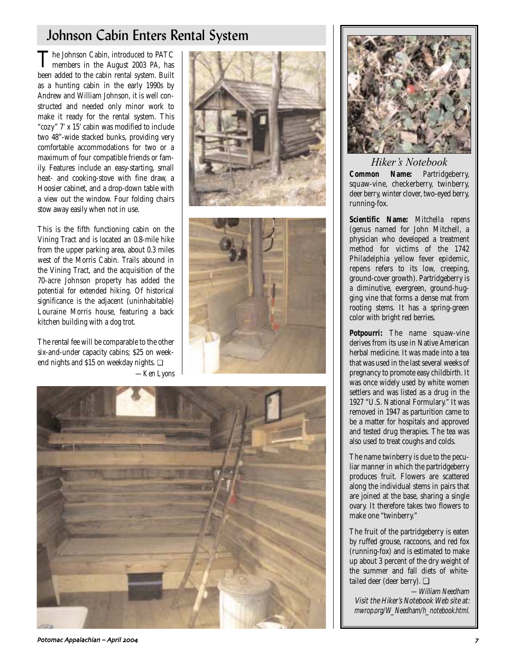## Johnson Cabin Enters Rental System

The Johnson Cabin, introduced to PATC members in the August 2003 *PA*, has been added to the cabin rental system. Built as a hunting cabin in the early 1990s by Andrew and William Johnson, it is well constructed and needed only minor work to make it ready for the rental system. This "cozy" 7' x 15' cabin was modified to include two 48"-wide stacked bunks, providing very comfortable accommodations for two or a maximum of four compatible friends or family. Features include an easy-starting, small heat- and cooking-stove with fine draw, a Hoosier cabinet, and a drop-down table with a view out the window. Four folding chairs stow away easily when not in use.

This is the fifth functioning cabin on the Vining Tract and is located an 0.8-mile hike from the upper parking area, about 0.3 miles west of the Morris Cabin. Trails abound in the Vining Tract, and the acquisition of the 70-acre Johnson property has added the potential for extended hiking. Of historical significance is the adjacent (uninhabitable) Louraine Morris house, featuring a back kitchen building with a dog trot.

The rental fee will be comparable to the other six-and-under capacity cabins; \$25 on weekend nights and \$15 on weekday nights. ❏ *—Ken Lyons*









*Hiker's Notebook* **Common Name:** Partridgeberry, squaw-vine, checkerberry, twinberry, deer berry, winter clover, two-eyed berry, running-fox.

**Scientific Name:** *Mitchella repens* (genus named for John Mitchell, a physician who developed a treatment method for victims of the 1742 Philadelphia yellow fever epidemic, repens refers to its low, creeping, ground-cover growth). Partridgeberry is a diminutive, evergreen, ground-hugging vine that forms a dense mat from rooting stems. It has a spring-green color with bright red berries.

**Potpourri:** The name squaw-vine derives from its use in Native American herbal medicine. It was made into a tea that was used in the last several weeks of pregnancy to promote easy childbirth. It was once widely used by white women settlers and was listed as a drug in the 1927 "U.S. National Formulary." It was removed in 1947 as parturition came to be a matter for hospitals and approved and tested drug therapies. The tea was also used to treat coughs and colds.

The name twinberry is due to the peculiar manner in which the partridgeberry produces fruit. Flowers are scattered along the individual stems in pairs that are joined at the base, sharing a single ovary. It therefore takes two flowers to make one "twinberry."

The fruit of the partridgeberry is eaten by ruffed grouse, raccoons, and red fox (running-fox) and is estimated to make up about 3 percent of the dry weight of the summer and fall diets of whitetailed deer (deer berry). ❏

—William Needham Visit the Hiker's Notebook Web site at: mwrop.org/W\_Needham/h\_notebook.html.

Potomac Appalachian – April 2004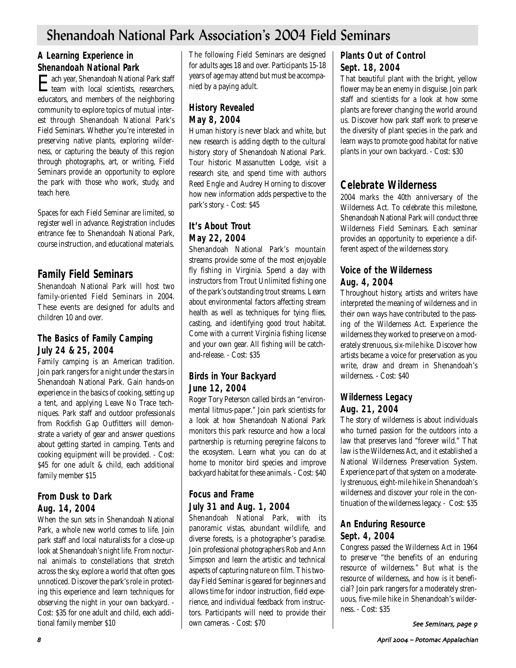## Shenandoah National Park Association's 2004 Field Seminars

### **A Learning Experience in Shenandoah National Park**

**Each year, Shenandoah National Park staff**<br>team with local scientists, researchers, team with local scientists, researchers, educators, and members of the neighboring community to explore topics of mutual interest through Shenandoah National Park's Field Seminars. Whether you're interested in preserving native plants, exploring wilderness, or capturing the beauty of this region through photographs, art, or writing, Field Seminars provide an opportunity to explore the park with those who work, study, and teach here.

Spaces for each Field Seminar are limited, so register well in advance. Registration includes entrance fee to Shenandoah National Park, course instruction, and educational materials.

## **Family Field Seminars**

Shenandoah National Park will host two family-oriented Field Seminars in 2004. These events are designed for adults and children 10 and over.

### **The Basics of Family Camping July 24 & 25, 2004**

Family camping is an American tradition. Join park rangers for a night under the stars in Shenandoah National Park. Gain hands-on experience in the basics of cooking, setting up a tent, and applying Leave No Trace techniques. Park staff and outdoor professionals from Rockfish Gap Outfitters will demonstrate a variety of gear and answer questions about getting started in camping. Tents and cooking equipment will be provided. - Cost: \$45 for one adult & child, each additional family member \$15

### **From Dusk to Dark Aug. 14, 2004**

When the sun sets in Shenandoah National Park, a whole new world comes to life. Join park staff and local naturalists for a close-up look at Shenandoah's night life. From nocturnal animals to constellations that stretch across the sky, explore a world that often goes unnoticed. Discover the park's role in protecting this experience and learn techniques for observing the night in your own backyard. - Cost: \$35 for one adult and child, each additional family member \$10

The following Field Seminars are designed for adults ages 18 and over. Participants 15-18 years of age may attend but must be accompanied by a paying adult.

## **History Revealed May 8, 2004**

Human history is never black and white, but new research is adding depth to the cultural history story of Shenandoah National Park. Tour historic Massanutten Lodge, visit a research site, and spend time with authors Reed Engle and Audrey Horning to discover how new information adds perspective to the park's story. - Cost: \$45

### **It's About Trout May 22, 2004**

Shenandoah National Park's mountain streams provide some of the most enjoyable fly fishing in Virginia. Spend a day with instructors from Trout Unlimited fishing one of the park's outstanding trout streams. Learn about environmental factors affecting stream health as well as techniques for tying flies, casting, and identifying good trout habitat. Come with a current Virginia fishing license and your own gear. All fishing will be catchand-release. - Cost: \$35

### **Birds in Your Backyard June 12, 2004**

Roger Tory Peterson called birds an "environmental litmus-paper." Join park scientists for a look at how Shenandoah National Park monitors this park resource and how a local partnership is returning peregrine falcons to the ecosystem. Learn what you can do at home to monitor bird species and improve backyard habitat for these animals. - Cost: \$40

## **Focus and Frame July 31 and Aug. 1, 2004**

Shenandoah National Park, with its panoramic vistas, abundant wildlife, and diverse forests, is a photographer's paradise. Join professional photographers Rob and Ann Simpson and learn the artistic and technical aspects of capturing nature on film. This twoday Field Seminar is geared for beginners and allows time for indoor instruction, field experience, and individual feedback from instructors. Participants will need to provide their own cameras. - Cost: \$70

### **Plants Out of Control Sept. 18, 2004**

That beautiful plant with the bright, yellow flower may be an enemy in disguise. Join park staff and scientists for a look at how some plants are forever changing the world around us. Discover how park staff work to preserve the diversity of plant species in the park and learn ways to promote good habitat for native plants in your own backyard. - Cost: \$30

## **Celebrate Wilderness**

2004 marks the 40th anniversary of the Wilderness Act. To celebrate this milestone, Shenandoah National Park will conduct three Wilderness Field Seminars. Each seminar provides an opportunity to experience a different aspect of the wilderness story.

### **Voice of the Wilderness Aug. 4, 2004**

Throughout history, artists and writers have interpreted the meaning of wilderness and in their own ways have contributed to the passing of the Wilderness Act. Experience the wilderness they worked to preserve on a moderately strenuous, six-mile hike. Discover how artists became a voice for preservation as you write, draw and dream in Shenandoah's wilderness. - Cost: \$40

## **Wilderness Legacy Aug. 21, 2004**

The story of wilderness is about individuals who turned passion for the outdoors into a law that preserves land "forever wild." That law is the Wilderness Act, and it established a National Wilderness Preservation System. Experience part of that system on a moderately strenuous, eight-mile hike in Shenandoah's wilderness and discover your role in the continuation of the wilderness legacy. - Cost: \$35

### **An Enduring Resource Sept. 4, 2004**

Congress passed the Wilderness Act in 1964 to preserve "the benefits of an enduring resource of wilderness." But what is the resource of wilderness, and how is it beneficial? Join park rangers for a moderately strenuous, five-mile hike in Shenandoah's wilderness. - Cost: \$35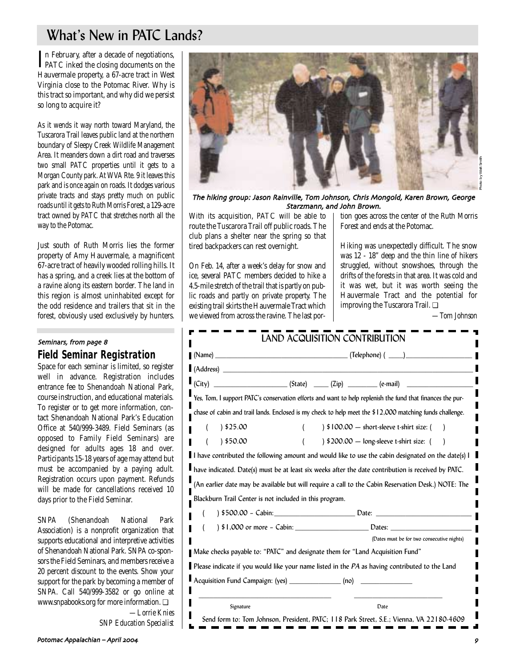# What's New in PATC Lands?

In February, after a decade of negotiations,<br>PATC inked the closing documents on the PATC inked the closing documents on the Hauvermale property, a 67-acre tract in West Virginia close to the Potomac River. Why is this tract so important, and why did we persist so long to acquire it?

As it wends it way north toward Maryland, the Tuscarora Trail leaves public land at the northern boundary of Sleepy Creek Wildlife Management Area. It meanders down a dirt road and traverses two small PATC properties until it gets to a Morgan County park. At WVA Rte. 9 it leaves this park and is once again on roads. It dodges various private tracts and stays pretty much on public roads until it gets to Ruth Morris Forest, a 129-acre tract owned by PATC that stretches north all the way to the Potomac.

Just south of Ruth Morris lies the former property of Amy Hauvermale, a magnificent 67-acre tract of heavily wooded rolling hills. It has a spring, and a creek lies at the bottom of a ravine along its eastern border. The land in this region is almost uninhabited except for the odd residence and trailers that sit in the forest, obviously used exclusively by hunters.

### **Field Seminar Registration**  Seminars, from page 8

Space for each seminar is limited, so register well in advance. Registration includes entrance fee to Shenandoah National Park, course instruction, and educational materials. To register or to get more information, contact Shenandoah National Park's Education Office at 540/999-3489. Field Seminars (as opposed to Family Field Seminars) are designed for adults ages 18 and over. Participants 15-18 years of age may attend but must be accompanied by a paying adult. Registration occurs upon payment. Refunds will be made for cancellations received 10 days prior to the Field Seminar.

SNPA (Shenandoah National Park Association) is a nonprofit organization that supports educational and interpretive activities of Shenandoah National Park. SNPA co-sponsors the Field Seminars, and members receive a 20 percent discount to the events. Show your support for the park by becoming a member of SNPA. Call 540/999-3582 or go online at www.snpabooks.org for more information. ❏ *—Lorrie Knies*

*SNP Education Specialist*



The hiking group: Jason Rainville, Tom Johnson, Chris Mongold, Karen Brown, George Starzmann, and John Brown.

With its acquisition, PATC will be able to route the Tuscarora Trail off public roads. The club plans a shelter near the spring so that tired backpackers can rest overnight.

On Feb. 14, after a week's delay for snow and ice, several PATC members decided to hike a 4.5-mile stretch of the trail that is partly on public roads and partly on private property. The existing trail skirts the Hauvermale Tract which we viewed from across the ravine. The last portion goes across the center of the Ruth Morris Forest and ends at the Potomac.

Hiking was unexpectedly difficult. The snow was 12 - 18" deep and the thin line of hikers struggled, without snowshoes, through the drifts of the forests in that area. It was cold and it was wet, but it was worth seeing the Hauvermale Tract and the potential for improving the Tuscarora Trail. ❏

*—Tom Johnson*

|                                                         | (Address)                                                                                                                                                                                                                                                                                                                                                                                                                                                                                        |
|---------------------------------------------------------|--------------------------------------------------------------------------------------------------------------------------------------------------------------------------------------------------------------------------------------------------------------------------------------------------------------------------------------------------------------------------------------------------------------------------------------------------------------------------------------------------|
| (City)                                                  | $\begin{array}{ccccccccc}\n & & & & & & & \\  & & & & & & & \\ \hline\n & & & & & & & & \\ \hline\n & & & & & & & & \\ \hline\n & & & & & & & & \\ \hline\n & & & & & & & & \\ \hline\n & & & & & & & & \\ \hline\n & & & & & & & & \\ \hline\n & & & & & & & & \\ \hline\n & & & & & & & & & \\ \hline\n & & & & & & & & & \\ \hline\n & & & & & & & & & & \\ \hline\n & & & & & & & & & & \\ \hline\n & & & & & & & & & & \\ \hline\n & & & & & & & & & & \\ \hline\n & & & & & & & & & & \\ $ |
|                                                         | Yes, Tom, I support PATC's conservation efforts and want to help replenish the fund that finances the pur-                                                                                                                                                                                                                                                                                                                                                                                       |
|                                                         | chase of cabin and trail lands. Enclosed is my check to help meet the \$12,000 matching funds challenge.                                                                                                                                                                                                                                                                                                                                                                                         |
| 325.00                                                  | $\frac{1}{2}$ \$100.00 - short-sleeve t-shirt size: (                                                                                                                                                                                                                                                                                                                                                                                                                                            |
| 350.00                                                  | $\frac{1}{200.00}$ - long-sleeve t-shirt size: (                                                                                                                                                                                                                                                                                                                                                                                                                                                 |
|                                                         | I have contributed the following amount and would like to use the cabin designated on the date(s) I                                                                                                                                                                                                                                                                                                                                                                                              |
|                                                         | have indicated. Date(s) must be at least six weeks after the date contribution is received by PATC.                                                                                                                                                                                                                                                                                                                                                                                              |
|                                                         | (An earlier date may be available but will require a call to the Cabin Reservation Desk.) NOTE: The                                                                                                                                                                                                                                                                                                                                                                                              |
| Blackburn Trail Center is not included in this program. |                                                                                                                                                                                                                                                                                                                                                                                                                                                                                                  |
|                                                         |                                                                                                                                                                                                                                                                                                                                                                                                                                                                                                  |
|                                                         |                                                                                                                                                                                                                                                                                                                                                                                                                                                                                                  |
|                                                         | (Dates must be for two consecutive nights)                                                                                                                                                                                                                                                                                                                                                                                                                                                       |
|                                                         |                                                                                                                                                                                                                                                                                                                                                                                                                                                                                                  |
|                                                         | Make checks payable to: "PATC" and designate them for "Land Acquisition Fund"                                                                                                                                                                                                                                                                                                                                                                                                                    |
|                                                         | Please indicate if you would like your name listed in the $PA$ as having contributed to the Land                                                                                                                                                                                                                                                                                                                                                                                                 |
| Acquisition Fund Campaign: (yes) _________________ (no) |                                                                                                                                                                                                                                                                                                                                                                                                                                                                                                  |
|                                                         |                                                                                                                                                                                                                                                                                                                                                                                                                                                                                                  |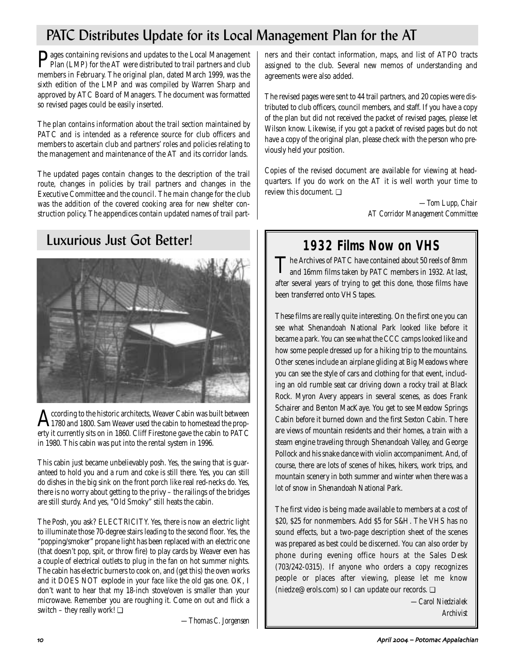# PATC Distributes Update for its Local Management Plan for the AT

**P**ages containing revisions and updates to the Local Management<br>Plan (LMP) for the AT were distributed to trail partners and club members in February. The original plan, dated March 1999, was the sixth edition of the LMP and was compiled by Warren Sharp and approved by ATC Board of Managers. The document was formatted so revised pages could be easily inserted.

The plan contains information about the trail section maintained by PATC and is intended as a reference source for club officers and members to ascertain club and partners' roles and policies relating to the management and maintenance of the AT and its corridor lands.

The updated pages contain changes to the description of the trail route, changes in policies by trail partners and changes in the Executive Committee and the council. The main change for the club was the addition of the covered cooking area for new shelter construction policy. The appendices contain updated names of trail part-

## Luxurious Just Got Better!



 $\hat{A}$  cording to the historic architects, Weaver Cabin was built between<br>1780 and 1800. Sam Weaver used the cabin to homestead the prop-<br>1800 GUS Fination span the politic BATG erty it currently sits on in 1860. Cliff Firestone gave the cabin to PATC in 1980. This cabin was put into the rental system in 1996.

This cabin just became unbelievably posh. Yes, the swing that is guaranteed to hold you and a rum and coke is still there. Yes, you can still do dishes in the big sink on the front porch like real red-necks do. Yes, there is no worry about getting to the privy – the railings of the bridges are still sturdy. And yes, "Old Smoky" still heats the cabin.

The Posh, you ask? ELECTRICITY. Yes, there is now an electric light to illuminate those 70-degree stairs leading to the second floor. Yes, the "popping/smoker" propane light has been replaced with an electric one (that doesn't pop, spit, or throw fire) to play cards by. Weaver even has a couple of electrical outlets to plug in the fan on hot summer nights. The cabin has electric burners to cook on, and (get this) the oven works and it DOES NOT explode in your face like the old gas one. OK, I don't want to hear that my 18-inch stove/oven is smaller than your microwave. Remember you are roughing it. Come on out and flick a switch – they really work!  $\Box$ 

*—Thomas C. Jorgensen*

ners and their contact information, maps, and list of ATPO tracts assigned to the club. Several new memos of understanding and agreements were also added.

The revised pages were sent to 44 trail partners, and 20 copies were distributed to club officers, council members, and staff. If you have a copy of the plan but did not received the packet of revised pages, please let Wilson know. Likewise, if you got a packet of revised pages but do not have a copy of the original plan, please check with the person who previously held your position.

Copies of the revised document are available for viewing at headquarters. If you do work on the AT it is well worth your time to review this document. ❏

> *—Tom Lupp, Chair AT Corridor Management Committee*

## **1932 Films Now on VHS**

The Archives of PATC have contained about 50 reels of 8mm<br>and 16mm films taken by PATC members in 1932. At last, after several years of trying to get this done, those films have been transferred onto VHS tapes.

These films are really quite interesting. On the first one you can see what Shenandoah National Park looked like before it became a park. You can see what the CCC camps looked like and how some people dressed up for a hiking trip to the mountains. Other scenes include an airplane gliding at Big Meadows where you can see the style of cars and clothing for that event, including an old rumble seat car driving down a rocky trail at Black Rock. Myron Avery appears in several scenes, as does Frank Schairer and Benton MacKaye. You get to see Meadow Springs Cabin before it burned down and the first Sexton Cabin. There are views of mountain residents and their homes, a train with a steam engine traveling through Shenandoah Valley, and George Pollock and his snake dance with violin accompaniment. And, of course, there are lots of scenes of hikes, hikers, work trips, and mountain scenery in both summer and winter when there was a lot of snow in Shenandoah National Park.

The first video is being made available to members at a cost of \$20, \$25 for nonmembers. Add \$5 for S&H. The VHS has no sound effects, but a two-page description sheet of the scenes was prepared as best could be discerned. You can also order by phone during evening office hours at the Sales Desk (703/242-0315). If anyone who orders a copy recognizes people or places after viewing, please let me know (niedze@erols.com) so I can update our records. ❏

> *—Carol Niedzialek Archivist*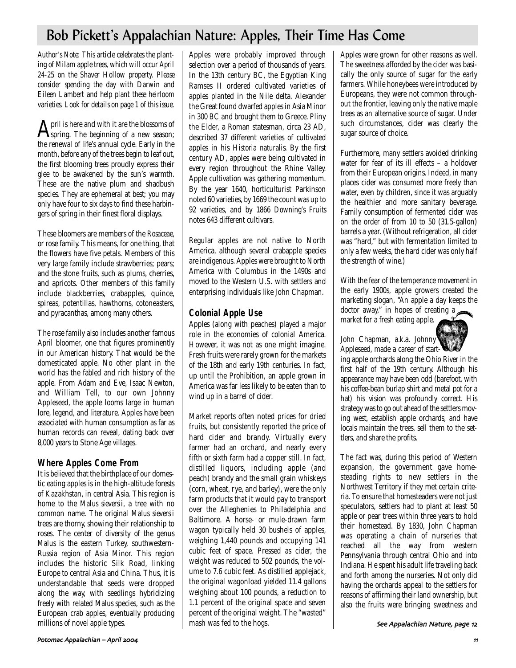## Bob Pickett's Appalachian Nature: Apples, Their Time Has Come

*Author's Note: This article celebrates the planting of Milam apple trees, which will occur April 24-25 on the Shaver Hollow property. Please consider spending the day with Darwin and Eileen Lambert and help plant these heirloom varieties. Look for details on page 1 of this issue.* 

April is here and with it are the blossoms of<br>spring. The beginning of a new season; the renewal of life's annual cycle. Early in the month, before any of the trees begin to leaf out, the first blooming trees proudly express their glee to be awakened by the sun's warmth. These are the native plum and shadbush species. They are ephemeral at best; you may only have four to six days to find these harbingers of spring in their finest floral displays.

These bloomers are members of the *Rosaceae*, or rose family. This means, for one thing, that the flowers have five petals. Members of this very large family include strawberries; pears; and the stone fruits, such as plums, cherries, and apricots. Other members of this family include blackberries, crabapples, quince, spireas, potentillas, hawthorns, cotoneasters, and pyracanthas, among many others.

The rose family also includes another famous April bloomer, one that figures prominently in our American history. That would be the domesticated apple. No other plant in the world has the fabled and rich history of the apple. From Adam and Eve, Isaac Newton, and William Tell, to our own Johnny Appleseed, the apple looms large in human lore, legend, and literature. Apples have been associated with human consumption as far as human records can reveal, dating back over 8,000 years to Stone Age villages.

### **Where Apples Come From**

It is believed that the birthplace of our domestic eating apples is in the high-altitude forests of Kazakhstan, in central Asia. This region is home to the *Malus sieversii*, a tree with no common name. The original *Malus sieversii* trees are thorny, showing their relationship to roses. The center of diversity of the genus *Malus* is the eastern Turkey, southwestern-Russia region of Asia Minor. This region includes the historic Silk Road, linking Europe to central Asia and China. Thus, it is understandable that seeds were dropped along the way, with seedlings hybridizing freely with related *Malus* species, such as the European crab apples, eventually producing millions of novel apple types.

Apples were probably improved through selection over a period of thousands of years. In the 13th century BC, the Egyptian King Ramses II ordered cultivated varieties of apples planted in the Nile delta. Alexander the Great found dwarfed apples in Asia Minor in 300 BC and brought them to Greece. Pliny the Elder, a Roman statesman, circa 23 AD, described 37 different varieties of cultivated apples in his *Historia naturalis*. By the first century AD, apples were being cultivated in every region throughout the Rhine Valley. Apple cultivation was gathering momentum. By the year 1640, horticulturist Parkinson noted 60 varieties, by 1669 the count was up to 92 varieties, and by 1866 *Downing's Fruits* notes 643 different cultivars.

Regular apples are not native to North America, although several crabapple species are indigenous. Apples were brought to North America with Columbus in the 1490s and moved to the Western U.S. with settlers and enterprising individuals like John Chapman.

### **Colonial Apple Use**

Apples (along with peaches) played a major role in the economies of colonial America. However, it was not as one might imagine. Fresh fruits were rarely grown for the markets of the 18th and early 19th centuries. In fact, up until the Prohibition, an apple grown in America was far less likely to be eaten than to wind up in a barrel of cider.

Market reports often noted prices for dried fruits, but consistently reported the price of hard cider and brandy. Virtually every farmer had an orchard, and nearly every fifth or sixth farm had a copper still. In fact, distilled liquors, including apple (and peach) brandy and the small grain whiskeys (corn, wheat, rye, and barley), were the only farm products that it would pay to transport over the Alleghenies to Philadelphia and Baltimore. A horse- or mule-drawn farm wagon typically held 30 bushels of apples, weighing 1,440 pounds and occupying 141 cubic feet of space. Pressed as cider, the weight was reduced to 502 pounds, the volume to 7.6 cubic feet. As distilled applejack, the original wagonload yielded 11.4 gallons weighing about 100 pounds, a reduction to 1.1 percent of the original space and seven percent of the original weight. The "wasted" mash was fed to the hogs.

Apples were grown for other reasons as well. The sweetness afforded by the cider was basically the only source of sugar for the early farmers. While honeybees were introduced by Europeans, they were not common throughout the frontier, leaving only the native maple trees as an alternative source of sugar. Under such circumstances, cider was clearly the sugar source of choice.

Furthermore, many settlers avoided drinking water for fear of its ill effects – a holdover from their European origins. Indeed, in many places cider was consumed more freely than water, even by children, since it was arguably the healthier and more sanitary beverage. Family consumption of fermented cider was on the order of from 10 to 50 (31.5-gallon) barrels a year. (Without refrigeration, all cider was "hard," but with fermentation limited to only a few weeks, the hard cider was only half the strength of wine.)

With the fear of the temperance movement in the early 1900s, apple growers created the marketing slogan, "An apple a day keeps the doctor away," in hopes of creating a market for a fresh eating apple.

John Chapman, a.k.a. Johnny Appleseed, made a career of start-



ing apple orchards along the Ohio River in the first half of the 19th century. Although his appearance may have been odd (barefoot, with his coffee-bean burlap shirt and metal pot for a hat) his vision was profoundly correct. His strategy was to go out ahead of the settlers moving west, establish apple orchards, and have locals maintain the trees, sell them to the settlers, and share the profits.

The fact was, during this period of Western expansion, the government gave homesteading rights to new settlers in the Northwest Territory if they met certain criteria. To ensure that homesteaders were not just speculators, settlers had to plant at least 50 apple or pear trees within three years to hold their homestead. By 1830, John Chapman was operating a chain of nurseries that reached all the way from western Pennsylvania through central Ohio and into Indiana. He spent his adult life traveling back and forth among the nurseries. Not only did having the orchards appeal to the settlers for reasons of affirming their land ownership, but also the fruits were bringing sweetness and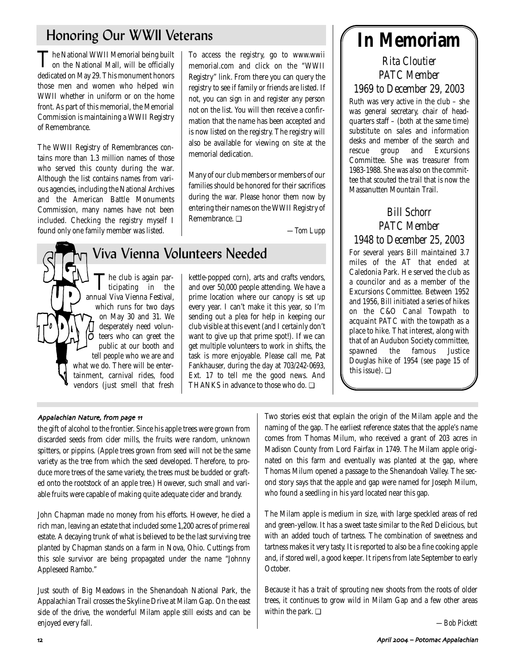## Honoring Our WWII Veterans

**The National WWII Memorial being built**<br>on the National Mall, will be officially dedicated on May 29. This monument honors those men and women who helped win WWII whether in uniform or on the home front. As part of this memorial, the Memorial Commission is maintaining a WWII Registry of Remembrance.

The WWII Registry of Remembrances contains more than 1.3 million names of those who served this county during the war. Although the list contains names from various agencies, including the National Archives and the American Battle Monuments Commission, many names have not been included. Checking the registry myself I found only one family member was listed.

To access the registry, go to www.wwii memorial.com and click on the "WWII Registry" link. From there you can query the registry to see if family or friends are listed. If not, you can sign in and register any person not on the list. You will then receive a confirmation that the name has been accepted and is now listed on the registry. The registry will also be available for viewing on site at the memorial dedication.

Many of our club members or members of our families should be honored for their sacrifices during the war. Please honor them now by entering their names on the WWII Registry of Remembrance. ❏

*—Tom Lupp*

## The club is again par-<br>ticipating in the annual Viva Vienna Festival, which runs for two days on May 30 and 31. We desperately need volunō teers who can greet the public at our booth and tell people who we are and what we do. There will be entertainment, carnival rides, food vendors (just smell that fresh

# Viva Vienna Volunteers Needed

kettle-popped corn), arts and crafts vendors, and over 50,000 people attending. We have a prime location where our canopy is set up every year. I can't make it this year, so I'm sending out a plea for help in keeping our club visible at this event (and I certainly don't want to give up that prime spot!). If we can get multiple volunteers to work in shifts, the task is more enjoyable. Please call me, Pat Fankhauser, during the day at 703/242-0693, Ext. 17 to tell me the good news. And THANKS in advance to those who do. ❏

# **In Memoriam**

*Rita Cloutier PATC Member 1969 to December 29, 2003*

Ruth was very active in the club – she was general secretary, chair of headquarters staff – (both at the same time) substitute on sales and information desks and member of the search and rescue group and Excursions Committee. She was treasurer from 1983-1988. She was also on the committee that scouted the trail that is now the Massanutten Mountain Trail.

### *Bill Schorr PATC Member 1948 to December 25, 2003* For several years Bill maintained 3.7 miles of the AT that ended at Caledonia Park. He served the club as a councilor and as a member of the Excursions Committee. Between 1952 and 1956, Bill initiated a series of hikes on the C&O Canal Towpath to acquaint PATC with the towpath as a place to hike. That interest, along with that of an Audubon Society committee, spawned the famous Justice Douglas hike of 1954 (see page 15 of this issue). ❏

#### Appalachian Nature, from page 11

the gift of alcohol to the frontier. Since his apple trees were grown from discarded seeds from cider mills, the fruits were random, unknown spitters, or pippins. (Apple trees grown from seed will not be the same variety as the tree from which the seed developed. Therefore, to produce more trees of the same variety, the trees must be budded or grafted onto the rootstock of an apple tree.) However, such small and variable fruits were capable of making quite adequate cider and brandy.

John Chapman made no money from his efforts. However, he died a rich man, leaving an estate that included some 1,200 acres of prime real estate. A decaying trunk of what is believed to be the last surviving tree planted by Chapman stands on a farm in Nova, Ohio. Cuttings from this sole survivor are being propagated under the name "Johnny Appleseed Rambo."

Just south of Big Meadows in the Shenandoah National Park, the Appalachian Trail crosses the Skyline Drive at Milam Gap. On the east side of the drive, the wonderful Milam apple still exists and can be enjoyed every fall.

Two stories exist that explain the origin of the Milam apple and the naming of the gap. The earliest reference states that the apple's name comes from Thomas Milum, who received a grant of 203 acres in Madison County from Lord Fairfax in 1749. The Milam apple originated on this farm and eventually was planted at the gap, where Thomas Milum opened a passage to the Shenandoah Valley. The second story says that the apple and gap were named for Joseph Milum, who found a seedling in his yard located near this gap.

The Milam apple is medium in size, with large speckled areas of red and green-yellow. It has a sweet taste similar to the Red Delicious, but with an added touch of tartness. The combination of sweetness and tartness makes it very tasty. It is reported to also be a fine cooking apple and, if stored well, a good keeper. It ripens from late September to early October.

Because it has a trait of sprouting new shoots from the roots of older trees, it continues to grow wild in Milam Gap and a few other areas within the park. ❏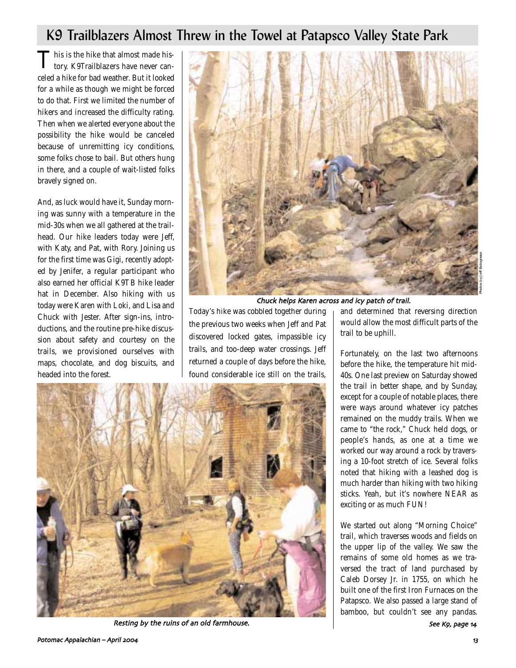## K9 Trailblazers Almost Threw in the Towel at Patapsco Valley State Park

This is the hike that almost made history. K9Trailblazers have never canceled a hike for bad weather. But it looked for a while as though we might be forced to do that. First we limited the number of hikers and increased the difficulty rating. Then when we alerted everyone about the possibility the hike would be canceled because of unremitting icy conditions, some folks chose to bail. But others hung in there, and a couple of wait-listed folks bravely signed on.

And, as luck would have it, Sunday morning was sunny with a temperature in the mid-30s when we all gathered at the trailhead. Our hike leaders today were Jeff, with Katy, and Pat, with Rory. Joining us for the first time was Gigi, recently adopted by Jenifer, a regular participant who also earned her official K9TB hike leader hat in December. Also hiking with us today were Karen with Loki, and Lisa and Chuck with Jester. After sign-ins, introductions, and the routine pre-hike discussion about safety and courtesy on the trails, we provisioned ourselves with maps, chocolate, and dog biscuits, and headed into the forest.



Chuck helps Karen across and icy patch of trail

Today's hike was cobbled together during the previous two weeks when Jeff and Pat discovered locked gates, impassible icy trails, and too-deep water crossings. Jeff returned a couple of days before the hike, found considerable ice still on the trails,



Resting by the ruins of an old farmhouse. The second section of the second see K9, page 14

and determined that reversing direction would allow the most difficult parts of the trail to be uphill.

Fortunately, on the last two afternoons before the hike, the temperature hit mid-40s. One last preview on Saturday showed the trail in better shape, and by Sunday, except for a couple of notable places, there were ways around whatever icy patches remained on the muddy trails. When we came to "the rock," Chuck held dogs, or people's hands, as one at a time we worked our way around a rock by traversing a 10-foot stretch of ice. Several folks noted that hiking with a leashed dog is much harder than hiking with two hiking sticks. Yeah, but it's nowhere NEAR as exciting or as much FUN!

We started out along "Morning Choice" trail, which traverses woods and fields on the upper lip of the valley. We saw the remains of some old homes as we traversed the tract of land purchased by Caleb Dorsey Jr. in 1755, on which he built one of the first Iron Furnaces on the Patapsco. We also passed a large stand of bamboo, but couldn't see any pandas.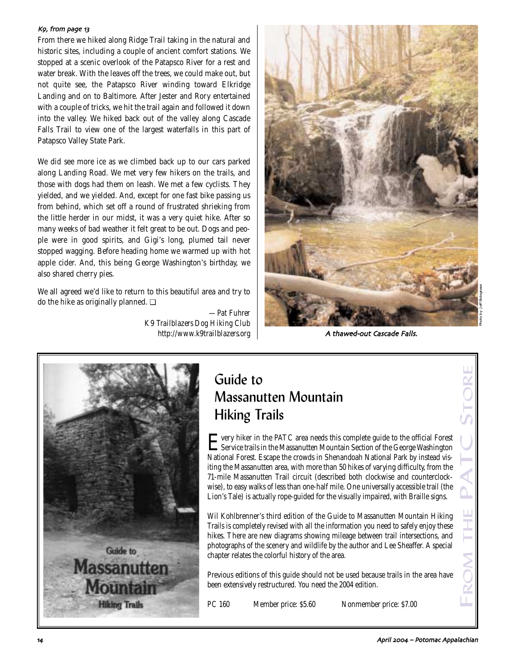#### K9, from page 13

From there we hiked along Ridge Trail taking in the natural and historic sites, including a couple of ancient comfort stations. We stopped at a scenic overlook of the Patapsco River for a rest and water break. With the leaves off the trees, we could make out, but not quite see, the Patapsco River winding toward Elkridge Landing and on to Baltimore. After Jester and Rory entertained with a couple of tricks, we hit the trail again and followed it down into the valley. We hiked back out of the valley along Cascade Falls Trail to view one of the largest waterfalls in this part of Patapsco Valley State Park.

We did see more ice as we climbed back up to our cars parked along Landing Road. We met very few hikers on the trails, and those with dogs had them on leash. We met a few cyclists. They yielded, and we yielded. And, except for one fast bike passing us from behind, which set off a round of frustrated shrieking from the little herder in our midst, it was a very quiet hike. After so many weeks of bad weather it felt great to be out. Dogs and people were in good spirits, and Gigi's long, plumed tail never stopped wagging. Before heading home we warmed up with hot apple cider. And, this being George Washington's birthday, we also shared cherry pies.

We all agreed we'd like to return to this beautiful area and try to do the hike as originally planned. ❏

> *—Pat Fuhrer K9 Trailblazers Dog Hiking Club http://www.k9trailblazers.org*



A thawed-out Cascade Falls.



# Guide to Massanutten Mountain Hiking Trails

Every hiker in the PATC area needs this complete guide to the official Forest Service trails in the Massanutten Mountain Section of the George Washington National Forest. Escape the crowds in Shenandoah National Park by instead visiting the Massanutten area, with more than 50 hikes of varying difficulty, from the 71-mile Massanutten Trail circuit (described both clockwise and counterclockwise), to easy walks of less than one-half mile. One universally accessible trail (the Lion's Tale) is actually rope-guided for the visually impaired, with Braille signs. **Cuide to**<br> **Massanutten Mountain**<br> **Hiking Trails**<br> **Exervice trails in the PATC** area needs this complete guide to the ofificial Forest<br>
Exervice trails in the Massanutten Mountain Section of the George Washington<br>
Natio

Wil Kohlbrenner's third edition of the Guide to Massanutten Mountain Hiking Trails is completely revised with all the information you need to safely enjoy these hikes. There are new diagrams showing mileage between trail intersections, and photographs of the scenery and wildlife by the author and Lee Sheaffer. A special chapter relates the colorful history of the area.

Previous editions of this guide should not be used because trails in the area have been extensively restructured. You need the 2004 edition.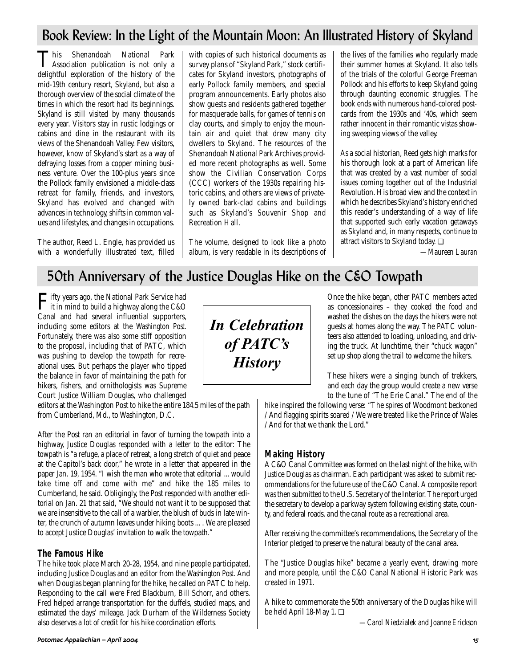## Book Review: In the Light of the Mountain Moon: An Illustrated History of Skyland

This Shenandoah National Park Association publication is not only a delightful exploration of the history of the mid-19th century resort, Skyland, but also a thorough overview of the social climate of the times in which the resort had its beginnings. Skyland is still visited by many thousands every year. Visitors stay in rustic lodgings or cabins and dine in the restaurant with its views of the Shenandoah Valley. Few visitors, however, know of Skyland's start as a way of defraying losses from a copper mining business venture. Over the 100-plus years since the Pollock family envisioned a middle-class retreat for family, friends, and investors, Skyland has evolved and changed with advances in technology, shifts in common values and lifestyles, and changes in occupations.

The author, Reed L. Engle, has provided us with a wonderfully illustrated text, filled with copies of such historical documents as survey plans of "Skyland Park," stock certificates for Skyland investors, photographs of early Pollock family members, and special program announcements. Early photos also show guests and residents gathered together for masquerade balls, for games of tennis on clay courts, and simply to enjoy the mountain air and quiet that drew many city dwellers to Skyland. The resources of the Shenandoah National Park Archives provided more recent photographs as well. Some show the Civilian Conservation Corps (CCC) workers of the 1930s repairing historic cabins, and others are views of privately owned bark-clad cabins and buildings such as Skyland's Souvenir Shop and Recreation Hall.

The volume, designed to look like a photo album, is very readable in its descriptions of the lives of the families who regularly made their summer homes at Skyland. It also tells of the trials of the colorful George Freeman Pollock and his efforts to keep Skyland going through daunting economic struggles. The book ends with numerous hand-colored postcards from the 1930s and '40s, which seem rather innocent in their romantic vistas showing sweeping views of the valley.

As a social historian, Reed gets high marks for his thorough look at a part of American life that was created by a vast number of social issues coming together out of the Industrial Revolution. His broad view and the context in which he describes Skyland's history enriched this reader's understanding of a way of life that supported such early vacation getaways as Skyland and, in many respects, continue to attract visitors to Skyland today. ❏

*—Maureen Lauran*

## 50th Anniversary of the Justice Douglas Hike on the C&O Towpath

Fifty years ago, the National Park Service had it in mind to build a highway along the C&O Canal and had several influential supporters, including some editors at the *Washington Post.* Fortunately, there was also some stiff opposition to the proposal, including that of PATC, which was pushing to develop the towpath for recreational uses. But perhaps the player who tipped the balance in favor of maintaining the path for hikers, fishers, and ornithologists was Supreme Court Justice William Douglas, who challenged

editors at the Washington Post to hike the entire 184.5 miles of the path from Cumberland, Md., to Washington, D.C.

After the Post ran an editorial in favor of turning the towpath into a highway, Justice Douglas responded with a letter to the editor: The towpath is "a refuge, a place of retreat, a long stretch of quiet and peace at the Capitol's back door," he wrote in a letter that appeared in the paper Jan. 19, 1954. "I wish the man who wrote that editorial ... would take time off and come with me" and hike the 185 miles to Cumberland, he said. Obligingly, the Post responded with another editorial on Jan. 21 that said, "We should not want it to be supposed that we are insensitive to the call of a warbler, the blush of buds in late winter, the crunch of autumn leaves under hiking boots ... . We are pleased to accept Justice Douglas' invitation to walk the towpath."

### **The Famous Hike**

The hike took place March 20-28, 1954, and nine people participated, including Justice Douglas and an editor from the *Washington Post*. And when Douglas began planning for the hike, he called on PATC to help. Responding to the call were Fred Blackburn, Bill Schorr, and others. Fred helped arrange transportation for the duffels, studied maps, and estimated the days' mileage. Jack Durham of the Wilderness Society also deserves a lot of credit for his hike coordination efforts.



Once the hike began, other PATC members acted as concessionaires – they cooked the food and washed the dishes on the days the hikers were not guests at homes along the way. The PATC volunteers also attended to loading, unloading, and driving the truck. At lunchtime, their "chuck wagon" set up shop along the trail to welcome the hikers.

These hikers were a singing bunch of trekkers, and each day the group would create a new verse to the tune of "The Erie Canal." The end of the

hike inspired the following verse: "The spires of Woodmont beckoned / And flagging spirits soared / We were treated like the Prince of Wales / And for that we thank the Lord."

### **Making History**

A C&O Canal Committee was formed on the last night of the hike, with Justice Douglas as chairman. Each participant was asked to submit recommendations for the future use of the C&O Canal. A composite report was then submitted to the U.S. Secretary of the Interior. The report urged the secretary to develop a parkway system following existing state, county, and federal roads, and the canal route as a recreational area.

After receiving the committee's recommendations, the Secretary of the Interior pledged to preserve the natural beauty of the canal area.

The "Justice Douglas hike" became a yearly event, drawing more and more people, until the C&O Canal National Historic Park was created in 1971.

A hike to commemorate the 50th anniversary of the Douglas hike will be held April 18-May 1. ❏

*—Carol Niedzialek and Joanne Erickson*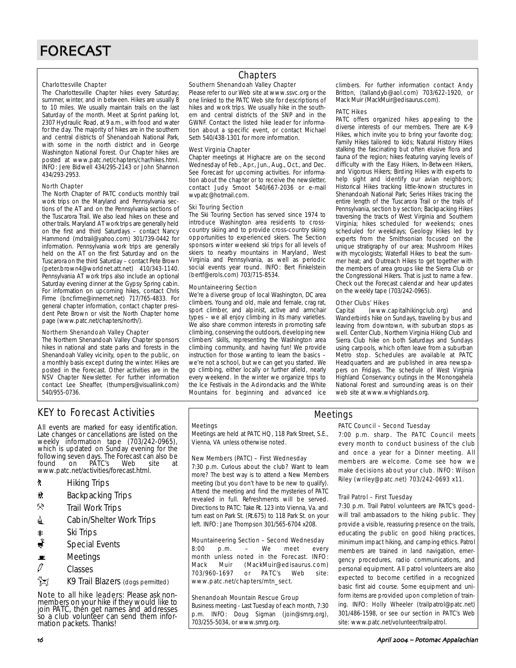#### Charlottesville Chapter

The Charlottesville Chapter hikes every Saturday; summer, winter, and in between. Hikes are usually 8 to 10 miles. We usually maintain trails on the last Saturday of the month. Meet at Sprint parking lot, 2307 Hydraulic Road, at 9 a.m., with food and water for the day. The majority of hikes are in the southern and central districts of Shenandoah National Park, with some in the north district and in George Washington National Forest. Our Chapter hikes are posted at www.patc.net/chapters/char/hikes.html. INFO: Jere Bidwell 434/295-2143 or John Shannon 434/293-2953.

#### North Chapter

The North Chapter of PATC conducts monthly trail work trips on the Maryland and Pennsylvania sections of the AT and on the Pennsylvania sections of the Tuscarora Trail. We also lead hikes on these and other trails. Maryland AT work trips are generally held on the first and third Saturdays – contact Nancy Hammond (mdtrail@yahoo.com) 301/739-0442 for information. Pennsylvania work trips are generally held on the AT on the first Saturday and on the Tuscarora on the third Saturday – contact Pete Brown (peter.brown4@worldnet.att.net) 410/343-1140. Pennsylvania AT work trips also include an optional Saturday evening dinner at the Gypsy Spring cabin. For information on upcoming hikes, contact Chris Firme (bncfirme@innernet.net) 717/765-4833. For general chapter information, contact chapter president Pete Brown or visit the North Chapter home page (www.patc.net/chapters/north/).

#### Northern Shenandoah Valley Chapter

The Northern Shenandoah Valley Chapter sponsors hikes in national and state parks and forests in the Shenandoah Valley vicinity, open to the public, on a monthly basis except during the winter. Hikes are posted in the Forecast. Other activities are in the NSV Chapter Newsletter. For further information contact Lee Sheaffer, (thumpers@visuallink.com) 540/955-0736.

### **Chapters**

#### Southern Shenandoah Valley Chapter

Please refer to our Web site at www.ssvc.org or the one linked to the PATC Web site for descriptions of hikes and work trips. We usually hike in the southern and central districts of the SNP and in the GWNF. Contact the listed hike leader for information about a specific event, or contact Michael Seth 540/438-1301 for more information.

#### West Virginia Chapter

Chapter meetings at Highacre are on the second Wednesday of Feb., Apr., Jun., Aug., Oct., and Dec. See Forecast for upcoming activities. For information about the chapter or to receive the newsletter, contact Judy Smoot 540/667-2036 or e-mail wvpatc@hotmail.com.

#### Ski Touring Section

The Ski Touring Section has served since 1974 to introduce Washington area residents to crosscountry skiing and to provide cross-country skiing opportunities to experienced skiers. The Section sponsors winter weekend ski trips for all levels of skiers to nearby mountains in Maryland, West Virginia and Pennsylvania, as well as periodic social events year round. INFO: Bert Finkelstein (bertf@erols.com) 703/715-8534.

#### Mountaineering Section

We're a diverse group of local Washington, DC area climbers. Young and old, male and female, crag rat, sport climber, and alpinist, active and armchair types – we all enjoy climbing in its many varieties. We also share common interests in promoting safe climbing, conserving the outdoors, developing new climbers' skills, representing the Washington area climbing community, and having fun! We provide instruction for those wanting to learn the basics – we're not a school, but we can get you started. We go climbing, either locally or further afield, nearly every weekend. In the winter we organize trips to the Ice Festivals in the Adirondacks and the White Mountains for beginning and advanced ice

climbers. For further information contact Andy Britton, (tallandyb@aol.com) 703/622-1920, or Mack Muir (MackMuir@edisaurus.com).

#### PATC Hikes

PATC offers organized hikes appealing to the diverse interests of our members. There are K-9 Hikes, which invite you to bring your favorite dog; Family Hikes tailored to kids; Natural History Hikes stalking the fascinating but often elusive flora and fauna of the region; hikes featuring varying levels of difficulty with the Easy Hikers, In-Between Hikers, and Vigorous Hikers; Birding Hikes with experts to help sight and identify our avian neighbors; Historical Hikes tracking little-known structures in Shenandoah National Park; Series Hikes tracing the entire length of the Tuscarora Trail or the trails of Pennsylvania, section by section; Backpacking Hikes traversing the tracts of West Virginia and Southern Virginia; hikes scheduled for weekends; ones scheduled for weekdays; Geology Hikes led by experts from the Smithsonian focused on the unique stratigraphy of our area; Mushroom Hikes with mycologists; Waterfall Hikes to beat the summer heat; and Outreach Hikes to get together with the members of area groups like the Sierra Club or the Congressional Hikers. That is just to name a few. Check out the Forecast calendar and hear updates on the weekly tape (703/242-0965).

#### Other Clubs' Hikes

Capital (www.capitalhikingclub.org) and Wanderbirds hike on Sundays, traveling by bus and leaving from downtown, with suburban stops as well. Center Club, Northern Virginia Hiking Club and Sierra Club hike on both Saturdays and Sundays using carpools, which often leave from a suburban Metro stop. Schedules are available at PATC Headquarters and are published in area newspapers on Fridays. The schedule of West Virginia Highland Conservancy outings in the Monongahela National Forest and surrounding areas is on their web site at www.wvhighlands.org.

### KEY to Forecast Activities

All events are marked for easy identification. Late changes or cancellations are listed on the weekly information tape (703/242-0965), which is updated on Sunday evening for the following seven days. The Forecast can also be<br>found on PATC's Web site at found on PATC's Web site at www.patc.net/activities/forecast.html.

- **A** Hiking Trips
- \* Backpacking Trips
- $\mathcal{R}$  Trail Work Trips
- **i** Cabin/Shelter Work Trips
- 
- as Ski Trips<br><del>A</del> Special I Special Events
- $\blacksquare$  Meetings
- $\sqrt{a}$  Classes
- K9 Trail Blazers (dogs permitted)

Note to all hike leaders: Please ask nonmembers on your hike if they would like to join PATC, then get names and addresses so a club volunteer can send them information packets. Thanks!

#### **Meetings**

Meetings are held at PATC HQ, 118 Park Street, S.E., Vienna, VA unless otherwise noted.

#### New Members (PATC) – First Wednesday

7:30 p.m. Curious about the club? Want to learn more? The best way is to attend a New Members meeting (but you don't have to be new to qualify). Attend the meeting and find the mysteries of PATC revealed in full. Refreshments will be served. Directions to PATC: Take Rt. 123 into Vienna, Va. and turn east on Park St. (Rt.675) to 118 Park St. on your left. INFO: Jane Thompson 301/565-6704 x208.

#### Mountaineering Section – Second Wednesday

8:00 p.m. – We meet every month unless noted in the Forecast. INFO: Mack Muir (MackMuir@edisaurus.com) 703/960-1697 or PATC's Web site: www.patc.net/chapters/mtn\_sect.

#### Shenandoah Mountain Rescue Group

Business meeting - Last Tuesday of each month, 7:30 p.m. INFO: Doug Sigman (join@smrg.org), 703/255-5034, or www.smrg.org.

#### PATC Council – Second Tuesday

Meetings

7:00 p.m. sharp. The PATC Council meets every month to conduct business of the club and once a year for a Dinner meeting. All members are welcome. Come see how we make decisions about your club. INFO: Wilson Riley (wriley@patc.net) 703/242-0693 x11.

#### Trail Patrol – First Tuesday

7:30 p.m. Trail Patrol volunteers are PATC's goodwill trail ambassadors to the hiking public. They provide a visible, reassuring presence on the trails, educating the public on good hiking practices, minimum impact hiking, and camping ethics. Patrol members are trained in land navigation, emergency procedures, radio communications, and personal equipment. All patrol volunteers are also expected to become certified in a recognized basic first aid course. Some equipment and uniform items are provided upon completion of training. INFO: Holly Wheeler (trailpatrol@patc.net) 301/486-1598, or see our section in PATC's Web site: www.patc.net/volunteer/trailpatrol.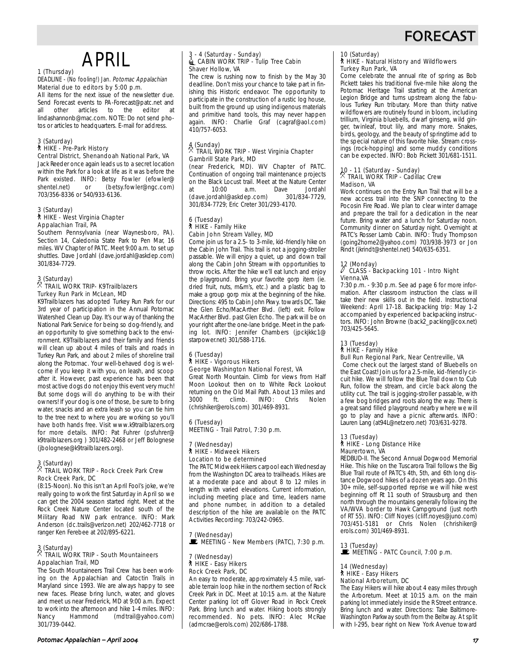## FORECAST

# APRIL

### 1 (Thursday)

#### DEADLINE - (No fooling!) Jan. Potomac Appalachian Material due to editors by 5:00 p.m.

All items for the next issue of the newsletter due. Send Forecast events to PA-Forecast@patc.net and all other articles to the editor at lindashannonb@mac.com. NOTE: Do not send photos or articles to headquarters. E-mail for address.

#### 3 (Saturday)

### ` HIKE - Pre-Park History

Central District, Shenandoah National Park, VA Jack Reeder once again leads us to a secret location within the Park for a look at life as it was before the Park existed. INFO: Betsy Fowler (efowler@<br>shentel.net) or (betsy.fowler@ngc.com) or (betsy.fowler@ngc.com) 703/356-8336 or 540/933-6136.

#### 3 (Saturday) ` HIKE - West Virginia Chapter

### Appalachian Trail, PA

Southern Pennsylvania (near Waynesboro, PA). Section 14, Caledonia State Park to Pen Mar, 16 miles. WV Chapter of PATC. Meet 9:00 a.m. to set up shuttles. Dave Jordahl (dave.jordahl@askdep.com) 301/834-7729.

### 3 (Saturday) . TRAIL WORK TRIP- K9Trailblazers Turkey Run Park in McLean, MD

K9Trailblazers has adopted Turkey Run Park for our 3rd year of participation in the Annual Potomac Watershed Clean up Day. It's our way of thanking the National Park Service for being so dog-friendly, and an opportunity to give something back to the environment. K9Trailblazers and their family and friends will clean up about 4 miles of trails and roads in Turkey Run Park, and about 2 miles of shoreline trail along the Potomac. Your well-behaved dog is welcome if you keep it with you, on leash, and scoop after it. However, past experience has been that most active dogs do not enjoy this event very much! But some dogs will do anything to be with their owners! If your dog is one of those, be sure to bring water, snacks and an extra leash so you can tie him to the tree next to where you are working so you'll have both hands free. Visit www.k9trailblazers.org for more details. INFO: Pat Fuhrer (psfuhrer@ k9trailblazers.org ) 301/482-2468 or Jeff Bolognese (jbolognese@k9trailblazers.org).

### 3 (Saturday) . TRAIL WORK TRIP - Rock Creek Park Crew Rock Creek Park, DC

(8:15-Noon). No this isn't an April Fool's joke, we're really going to work the first Saturday in April so we can get the 2004 season started right. Meet at the Rock Creek Nature Center located south of the Military Road NW park entrance. INFO: Mark Anderson (dc.trails@verizon.net) 202/462-7718 or ranger Ken Ferebee at 202/895-6221.

### 3 (Saturday) . TRAIL WORK TRIP - South Mountaineers Appalachian Trail, MD

The South Mountaineers Trail Crew has been working on the Appalachian and Catoctin Trails in Maryland since 1993. We are always happy to see new faces. Please bring lunch, water, and gloves and meet us near Frederick, MD at 9:00 a.m. Expect to work into the afternoon and hike 1-4 miles. INFO: Nancy Hammond (mdtrail@yahoo.com) 301/739-0442.

#### 3 - 4 (Saturday - Sunday)  $\triangleq$  CABIN WORK TRIP - Tulip Tree Cabin Shaver Hollow, VA

The crew is rushing now to finish by the May 30 deadline. Don't miss your chance to take part in finishing this Historic endeavor. The opportunity to participate in the construction of a rustic log house, built from the ground up using indigenous materials and primitive hand tools, this may never happen again. INFO: Charlie Graf (cagraf@aol.com) 410/757-6053.

#### $\frac{4}{3}$  (Sunday) . TRAIL WORK TRIP - West Virginia Chapter Gambrill State Park, MD

(near Frederick, MD). WV Chapter of PATC. Continuation of ongoing trail maintenance projects on the Black Locust trail. Meet at the Nature Center<br>at  $10:00$  a.m. Dave Jordahl at 10:00 a.m. Dave Jordahl (dave.jordahl@askdep.com) 301/834-7729, 301/834-7729; Eric Creter 301/293-4170.

#### 6 (Tuesday) ` HIKE - Family Hike Cabin John Stream Valley, MD

Come join us for a 2.5- to 3-mile, kid-friendly hike on the Cabin John Trail. This trail is not a jogging-stroller passable. We will enjoy a quiet, up and down trail along the Cabin John Stream with opportunities to throw rocks. After the hike we'll eat lunch and enjoy the playground. Bring your favorite gorp item (ie. dried fruit, nuts, m&m's, etc.) and a plastic bag to make a group gorp mix at the beginning of the hike. Directions: 495 to Cabin John Pkwy. towards DC. Take the Glen Echo/MacArther Blvd. (left) exit. Follow MacArther Blvd. past Glen Echo. The park will be on your right after the one-lane bridge. Meet in the parking lot. INFO: Jennifer Chambers (jpckjkkc1@ starpower.net) 301/588-1716.

#### 6 (Tuesday) ` HIKE - Vigorous Hikers George Washington National Forest, VA

Great North Mountain. Climb for views from Half Moon Lookout then on to White Rock Lookout returning on the Old Mail Path. About 13 miles and<br>3000 ft climb INFO: Chris Nolen 3000 ft. climb. INFO: Chris (chrishiker@erols.com) 301/469-8931.

#### 6 (Tuesday) MEETING - Trail Patrol, 7:30 p.m.

#### (Wednesday) ` HIKE - Midweek Hikers Location to be determined

The PATC Midweek Hikers carpool each Wednesday from the Washington DC area to trailheads. Hikes are at a moderate pace and about 8 to 12 miles in length with varied elevations. Current information, including meeting place and time, leaders name and phone number, in addition to a detailed description of the hike are available on the PATC Activities Recording: 703/242-0965.

7 (Wednesday)  $\mathbf{\mathbb{E}}$  MEETING - New Members (PATC), 7:30 p.m.

#### (Wednesday) ` HIKE - Easy Hikers Rock Creek Park, DC

An easy to moderate, approximately 4.5 mile, variable terrain loop hike in the northern section of Rock Creek Park in DC. Meet at 10:15 a.m. at the Nature Center parking lot off Glover Road in Rock Creek Park. Bring lunch and water. Hiking boots strongly recommended. No pets. INFO: Alec McRae (admcrae@erols.com) 202/686-1788.

### 10 (Saturday) ` HIKE - Natural History and Wildflowers Turkey Run Park, VA

Come celebrate the annual rite of spring as Bob Pickett takes his traditional five-mile hike along the Potomac Heritage Trail starting at the American Legion Bridge and turns upstream along the fabulous Turkey Run tributary. More than thirty native wildflowers are routinely found in bloom, including trillium, Virginia bluebells, dwarf ginseng, wild ginger, twinleaf, trout lily, and many more. Snakes, birds, geology, and the beauty of springtime add to the special nature of this favorite hike. Stream crossings (rock-hopping) and some muddy conditions can be expected. INFO: Bob Pickett 301/681-1511.

### 10 - 11 (Saturday - Sunday) . TRAIL WORK TRIP - Cadillac Crew Madison, VA

Work continues on the Entry Run Trail that will be a new access trail into the SNP connecting to the Pocosin Fire Road. We plan to clear winter damage and prepare the trail for a dedication in the near future. Bring water and a lunch for Saturday noon. Community dinner on Saturday night. Overnight at PATC's Rosser Lamb Cabin. INFO: Trudy Thompson (going2home2@yahoo.com) 703/938-3973 or Jon Rindt (jkrindt@shentel.net) 540/635-6351.

## 12 (Monday)

#### a CLASS - Backpacking 101 - Intro Night Vienna,VA

7:30 p.m. - 9:30 p.m. See ad page 6 for more information. After classroom instruction the class will take their new skills out in the field. Instructional Weekend: April 17-18. Backpacking trip: May 1-2 accompanied by experienced backpacking instructors. INFO: John Browne (back2\_packing@cox.net) 703/425-5645.

13 (Tuesday)

### ` HIKE - Family Hike

Bull Run Regional Park, Near Centreville, VA Come check out the largest stand of Bluebells on the East Coast! Join us for a 2.5-mile, kid-friendly circuit hike. We will follow the Blue Trail down to Cub Run, follow the stream, and circle back along the utility cut. The trail is jogging-stroller passable, with a few bog bridges and roots along the way. There is a great sand filled playground nearby where we will go to play and have a picnic afterwards. INFO: Lauren Lang (at94L@netzero.net) 703/631-9278.

#### 13 (Tuesday) ` HIKE - Long Distance Hike Maurertown, VA

REDBUD-II. The Second Annual Dogwood Memorial Hike. This hike on the Tuscarora Trail follows the Big Blue Trail route of PATC's 4th, 5th, and 6th long distance Dogwood hikes of a dozen years ago. On this 30+ mile, self-supported reprise we will hike west beginning off Rt 11 south of Strausburg and then north through the mountains generally following the VA/WVA border to Hawk Campground (just north of RT 55). INFO: Cliff Noyes (cliff.noyes@juno.com) 703/451-5181 or Chris Nolen (chrishiker@ erols.com) 301/469-8931.

13 (Tuesday)<br>■ MEETING - PATC Council, 7:00 p.m.

14 (Wednesday) ` HIKE - Easy Hikers National Arboretum, DC

The Easy Hikers will hike about 4 easy miles through the Arboretum. Meet at 10:15 a.m. on the main parking lot immediately inside the R Street entrance. Bring lunch and water. Directions: Take Baltimore-Washington Parkway south from the Beltway. At split with I-295, bear right on New York Avenue toward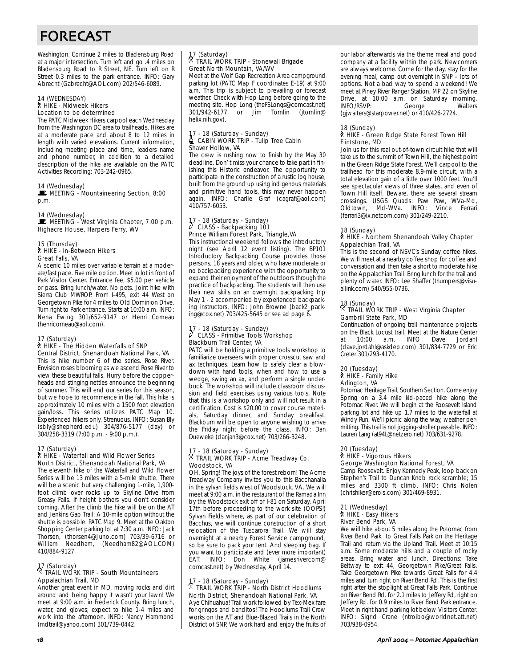# FORECAST

Washington. Continue 2 miles to Bladensburg Road at a major intersection. Turn left and go .4 miles on Bladensburg Road to R Street, NE. Turn left on R Street 0.3 miles to the park entrance. INFO: Gary Abrecht (Gabrecht@AOL.com) 202/546-6089.

#### 14 (WEDNESDAY) ` HIKE - Midweek Hikers Location to be determined

The PATC Midweek Hikers carpool each Wednesday from the Washington DC area to trailheads. Hikes are at a moderate pace and about 8 to 12 miles in length with varied elevations. Current information, including meeting place and time, leaders name and phone number, in addition to a detailed description of the hike are available on the PATC Activities Recording: 703-242-0965.

#### 14 (Wednesday)

MEETING - Mountaineering Section, 8:00 p.m.

#### 14 (Wednesday)

MEETING - West Virginia Chapter, 7:00 p.m. Highacre House, Harpers Ferry, WV

#### 15 (Thursday) ` HIKE - In-Between Hikers Great Falls, VA

A scenic 10 miles over variable terrain at a moderate/fast pace. Five mile option. Meet in lot in front of Park Visitor Center. Entrance fee, \$5.00 per vehicle or pass. Bring lunch/water. No pets. Joint hike with Sierra Club MWROP. From I-495, exit 44 West on Georgetown Pike for 4 miles to Old Dominion Drive. Turn right to Park entrance. Starts at 10:00 a.m. INFO: Nena Ewing 301/652-9147 or Henri Comeau (henricomeau@aol.com).

### 17 (Saturday) ` HIKE - The Hidden Waterfalls of SNP Central District, Shenandoah National Park, VA

This is hike number 6 of the series. Rose River. Envision roses blooming as we ascend Rose River to view these beautiful falls. Hurry before the copperheads and stinging nettles announce the beginning of summer. This will end our series for this season, but we hope to recommence in the fall. This hike is approximately 10 miles with a 1500 foot elevation gain/loss. This series utilizes PATC Map 10. Experienced hikers only. Strenuous. INFO: Susan Bly (sbly@shepherd.edu) 304/876-5177 (day) or 304/258-3319 (7:00 p.m. - 9:00 p.m.).

#### 17 (Saturday)

#### ` HIKE - Waterfall and Wild Flower Series North District, Shenandoah National Park, VA

The eleventh hike of the Waterfall and Wild Flower Series will be 13 miles with a 5-mile shuttle. There will be a scenic but very challenging 1-mile, 1,900 foot climb over rocks up to Skyline Drive from Greasy Falls. If height bothers you don't consider coming. After the climb the hike will be on the AT and Jenkins Gap Trail. A 10-mile option without the shuttle is possible. PATC Map 9. Meet at the Oakton Shopping Center parking lot at 7:30 a.m. INFO: Jack Thorsen, (thorsen4@Juno.com) 703/39-6716 or William Needham, (Needham82@AOL.COM) 410/884-9127.

### 17 (Saturday) . TRAIL WORK TRIP - South Mountaineers Appalachian Trail, MD

Another great event in MD, moving rocks and dirt around and being happy it wasn't your lawn! We meet at 9:00 a.m. in Frederick County. Bring lunch, water, and gloves; expect to hike 1-4 miles and work into the afternoon. INFO: Nancy Hammond (mdtrail@yahoo.com) 301/739-0442.

### 17 (Saturday) . TRAIL WORK TRIP - Stonewall Brigade Great North Mountain, VA/WV

Meet at the Wolf Gap Recreation Area campground parking lot (PATC Map F coordinates E-19) at 9:00 a.m. This trip is subject to prevailing or forecast weather. Check with Hop Long before going to the meeting site. Hop Long (the FSLongs@comcast.net)<br>301/942-6177 or lim Tomlin (itomlin@  $\overline{\phantom{a}}$  or  $\overline{\phantom{a}}$  Jim Tomlin (jtomlin $\overline{\phantom{a}}$ helix.nih.gov).

#### 17 - 18 (Saturday - Sunday)  $\triangleq$  CABIN WORK TRIP - Tulip Tree Cabin Shaver Hollow, VA

The crew is rushing now to finish by the May 30 deadline. Don' t miss your chance to take part in finishing this Historic endeavor. The opportunity to participate in the construction of a rustic log house, built from the ground up using indigenous materials and primitive hand tools, this may never happen again. INFO: Charlie Graf (cagraf@aol.com) 410/757-6053.

#### 17 - 18 (Saturday - Sunday) CLASS - Backpacking 101 Prince William Forest Park, Triangle,VA

This instructional weekend follows the introductory night (see April 12 event listing). The BP101 Introductory Backpacking Course provides those persons, 18 years and older, who have moderate or no backpacking experience with the opportunity to expand their enjoyment of the outdoors through the practice of backpacking. The students will then use their new skills on an overnight backpacking trip May 1 - 2 accompanied by experienced backpacking instructors. INFO: John Browne (back2\_packing@cox.net) 703/425-5645 or see ad page 6.

#### - 18 (Saturday - Sunday) a CLASS - Primitive Tools Workshop Blackburn Trail Center, VA

PATC will be holding a primitive tools workshop to familiarize overseers with proper crosscut saw and ax techniques. Learn how to safely clear a blowdown with hand tools, when and how to use a wedge, swing an ax, and perform a single underbuck. The workshop will include classroom discussion and field exercises using various tools. Note that this is a workshop only and will not result in a certification. Cost is \$20.00 to cover course materials, Saturday dinner, and Sunday breakfast. Blackburn will be open to anyone wishing to arrive the Friday night before the class. INFO: Dan Dueweke (danjan3@cox.net) 703/266-3248.

### 17 - 18 (Saturday - Sunday) . TRAIL WORK TRIP - Acme Treadway Co. Woodstock, VA

OH, Spring! The joys of the forest reborn! The Acme Treadway Company invites you to this Bacchanalia in the sylvan fields west of Woodstock, VA. We will meet at 9:00 a.m. in the restaurant of the Ramada Inn by the Woodstock exit off of I-81 on Saturday, April 17th before proceeding to the work site (OOPS!) Sylvan Fields where, as part of our celebration of Bacchus, we will continue construction of a short relocation of the Tuscarora Trail. We will stay overnight at a nearby Forest Service campground, so be sure to pack your tent. And sleeping bag. If you want to participate and (ever more important) EAT. INFO: Don White (jamesrivercome comcast.net) by Wednesday, April 14.

## 17 - 18 (Saturday - Sunday) . TRAIL WORK TRIP - North District Hoodlums North District, Shenandoah National Park, VA

Aye Chihuahua! Trail work followed by Tex-Mex fare for gringos and banditos! The Hoodlums Trail Crew works on the AT and Blue-Blazed Trails in the North District of SNP. We work hard and enjoy the fruits of our labor afterwards via the theme meal and good company at a facility within the park. Newcomers are always welcome. Come for the day, stay for the evening meal, camp out overnight in SNP – lots of options. Not a bad way to spend a weekend! We meet at Piney River Ranger Station, MP 22 on Skyline Drive, at 10:00 a.m. on Saturday morning.<br>INFO/RSVP: George Walters INFO/RSVP: George Walters (gjwalters@starpower.net) or 410/426-2724.

#### 18 (Sunday)

#### ` HIKE - Green Ridge State Forest Town Hill Flintstone, MD

Join us for this real out-of-town circuit hike that will take us to the summit of Town Hill, the highest point in the Green Ridge State Forest. We'll carpool to the trailhead for this moderate 8.9-mile circuit, with a total elevation gain of a little over 1000 feet. You'll see spectacular views of three states, and even of Town Hill itself. Beware, there are several stream crossings. USGS Quads: Paw Paw, WVa-Md, Oldtown, Md-WVa. INFO: Vince Ferrari (ferrari3@ix.netcom.com) 301/249-2210.

#### 18 (Sunday)

#### ` HIKE - Northern Shenandoah Valley Chapter Appalachian Trail, VA

This is the second of NSVC's Sunday coffee hikes. We will meet at a nearby coffee shop for coffee and conversation and then take a short to moderate hike on the Appalachian Trail. Bring lunch for the trail and plenty of water. INFO: Lee Shaffer (thumpers@visuallink.com) 540/955-0736.

### 18 (Sunday) . TRAIL WORK TRIP - West Virginia Chapter Gambrill State Park, MD

Continuation of ongoing trail maintenance projects on the Black Locust trail. Meet at the Nature Center<br>at  $10:00$  a.m. INFO Dave Jordahl at 10:00 a.m. INFO Dave Jordahl (dave.jordahl@askdep.com) 301/834-7729 or Eric Creter 301/293-4170.

#### 20 (Tuesday) ` HIKE - Family Hike Arlington, VA

Potomac Heritage Trail, Southern Section. Come enjoy Spring on a 3.4 mile kid-paced hike along the Potomac River. We will begin at the Roosevelt Island parking lot and hike up 1.7 miles to the waterfall at Windy Run. We'll picnic along the way, weather permitting. This trail is not jogging-stroller passable. INFO: Lauren Lang (at94L@netzero.net) 703/631-9278.

#### 20 (Tuesday) ` HIKE - Vigorous Hikers George Washington National Forest, VA

Camp Roosevelt. Enjoy Kennedy Peak, loop back on Stephen's Trail to Duncan Knob rock scramble; 15 miles and 3300 ft climb. INFO: Chris Nolen (chrishiker@erols.com) 301/469-8931.

#### 21 (Wednesday) ` HIKE - Easy Hikers River Bend Park, VA

We will hike about 5 miles along the Potomac from River Bend Park to Great Falls Park on the Heritage Trail and return via the Upland Trail. Meet at 10:15 a.m. Some moderate hills and a couple of rocky areas. Bring water and lunch. Directions: Take Beltway to exit 44, Georgetown Pike/Great Falls. Take Georgetown Pike towards Great Falls for 4.4 miles and turn right on River Bend Rd. This is the first right after the stoplight at Great Falls Park. Continue on River Bend Rd. for 2.1 miles to Jeffery Rd, right on Jeffery Rd. for 0.9 miles to River Bend Park entrance. Meet in right hand parking lot below Visitors Center. INFO: Sigrid Crane (ntroibo@worldnet.att.net) 703/938-0954.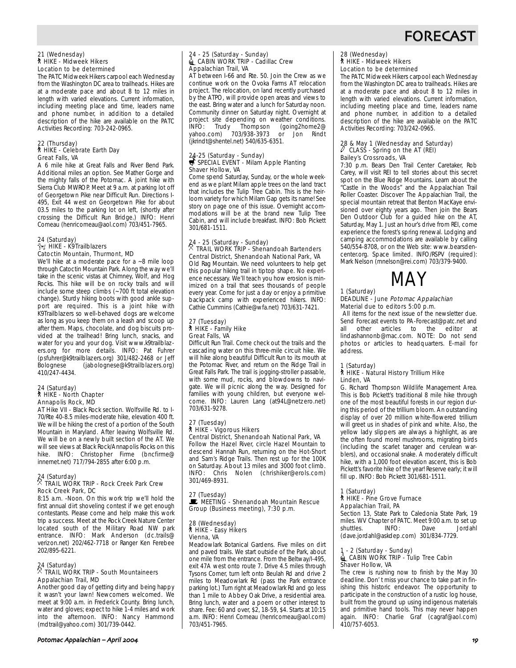## FORECAST

#### 21 (Wednesday) ` HIKE - Midweek Hikers Location to be determined

The PATC Midweek Hikers carpool each Wednesday from the Washington DC area to trailheads. Hikes are at a moderate pace and about 8 to 12 miles in length with varied elevations. Current information, including meeting place and time, leaders name and phone number, in addition to a detailed description of the hike are available on the PATC Activities Recording: 703-242-0965.

### 22 (Thursday) ` HIKE - Celebrate Earth Day Great Falls, VA

A 6 mile hike at Great Falls and River Bend Park. Additional miles an option. See Mather Gorge and the mighty falls of the Potomac. A joint hike with Sierra Club MWROP. Meet at 9 a.m. at parking lot off of Georgetown Pike near Difficult Run. Directions I-495, Exit 44 west on Georgetown Pike for about 03.5 miles to the parking lot on left, (shortly after crossing the Difficult Run Bridge.) INFO: Henri Comeau (henricomeau@aol.com) 703/451-7965.

#### 24 (Saturday)  $\gamma$  HIKE - K9Trailblazers Catoctin Mountain, Thurmont, MD

We'll hike at a moderate pace for a ~8 mile loop through Catoctin Mountain Park. Along the way we'll take in the scenic vistas at Chimney, Wolf, and Hog Rocks. This hike will be on rocky trails and will include some steep climbs (~700 ft total elevation change). Sturdy hiking boots with good ankle support are required. This is a joint hike with K9Trailblazers so well-behaved dogs are welcome as long as you keep them on a leash and scoop up after them. Maps, chocolate, and dog biscuits provided at the trailhead! Bring lunch, snacks, and water for you and your dog. Visit www.k9trailblazers.org for more details. INFO: Pat Fuhrer (psfuhrer@k9trailblazers.org) 301/482-2468 or Jeff (jabolognese@k9trailblazers.org) 410/247-4434.

#### 24 (Saturday) ` HIKE - North Chapter Annapolis Rock, MD

AT Hike VII - Black Rock section. Wolfsville Rd. to I-70/Rte 40-8.5 miles-moderate hike, elevation 400 ft. We will be hiking the crest of a portion of the South Mountain in Maryland. After leaving Wolfsville Rd. We will be on a newly built section of the AT. We will see views at Black Rock/Annapolis Rocks on this hike. INFO: Christopher Firme (bncfirme@ innernet.net) 717/794-2855 after 6:00 p.m.

### 24 (Saturday) . TRAIL WORK TRIP - Rock Creek Park Crew Rock Creek Park, DC

8:15 a.m. -Noon. On this work trip we'll hold the first annual dirt shoveling contest if we get enough contestants. Please come and help make this work trip a success. Meet at the Rock Creek Nature Center located south of the Military Road NW park entrance. INFO: Mark Anderson (dc.trails@ verizon.net) 202/462-7718 or Ranger Ken Ferebee 202/895-6221.

### 24 (Saturday) . TRAIL WORK TRIP - South Mountaineers Appalachian Trail, MD

Another good day of getting dirty and being happy it wasn't your lawn! Newcomers welcomed. We meet at 9:00 a.m. in Frederick County. Bring lunch, water and gloves; expect to hike 1-4 miles and work into the afternoon. INFO: Nancy Hammond (mdtrail@yahoo.com) 301/739-0442.

### 24 - 25 (Saturday - Sunday)<br>▒ CABIN WORK TRIP - Cadillac Crew Appalachian Trail, VA

AT between I-66 and Rte. 50. Join the Crew as we continue work on the Ovoka Farms AT relocation project. The relocation, on land recently purchased by the ATPO, will provide open areas and views to the east. Bring water and a lunch for Saturday noon. Community dinner on Saturday night. Overnight at project site depending on weather conditions.<br>INFO: Trudy Thompson (going2home2@ INFO: Trudy Thompson (going2home2@ yahoo.com) 703/938-3973 or Jon Rindt (jkrindt@shentel.net) 540/635-6351.

### 24-25 (Saturday - Sunday)<br>SPECIAL EVENT - Milam Apple Planting Shaver Hollow, VA

Come spend Saturday, Sunday, or the whole weekend as we plant Milam apple trees on the land tract that includes the Tulip Tree Cabin. This is the heirloom variety for which Milam Gap gets its name! See story on page one of this issue. Overnight accommodations will be at the brand new Tulip Tree Cabin, and will include breakfast. INFO: Bob Pickett 301/681-1511.

### 24 - 25 (Saturday - Sunday) . TRAIL WORK TRIP - Shenandoah Bartenders Central District, Shenandoah National Park, VA Old Rag Mountain. We need volunteers to help get

this popular hiking trail in tiptop shape. No experience necessary. We'll teach you how erosion is minimized on a trail that sees thousands of people every year. Come for just a day or enjoy a primitive backpack camp with experienced hikers. INFO: Cathie Cummins (Cathie@wfa.net) 703/631-7421.

### 27 (Tuesday) ` HIKE - Family Hike Great Falls, VA

Difficult Run Trail. Come check out the trails and the cascading water on this three-mile circuit hike. We will hike along beautiful Difficult Run to its mouth at the Potomac River, and return on the Ridge Trail in Great Falls Park. The trail is jogging-stroller passable, with some mud, rocks, and blowdowns to navigate. We will picnic along the way. Designed for families with young children, but everyone welcome. INFO: Lauren Lang (at94L@netzero.net) 703/631-9278.

#### 27 (Tuesday) ` HIKE - Vigorous Hikers Central District, Shenandoah National Park, VA

Follow the Hazel River, circle Hazel Mountain to descend Hannah Run, returning on the Hot-Short and Sam's Ridge Trails. Then rest up for the 100K on Saturday. About 13 miles and 3000 foot climb. INFO: Chris Nolen (chrishiker@erols.com) 301/469-8931.

#### 27 (Tuesday)  $\blacksquare$  MEETING - Shenandoah Mountain Rescue Group (Business meeting), 7:30 p.m.

#### 28 (Wednesday) ` HIKE - Easy Hikers Vienna, VA

Meadowlark Botanical Gardens. Five miles on dirt and paved trails. We start outside of the Park, about one mile from the entrance. From the Beltway/I-495, exit 47A west onto route 7. Drive 4.5 miles through Tysons Corner, turn left onto Beulah Rd and drive 2 miles to Meadowlark Rd (pass the Park entrance parking lot.) Turn right at Meadowlark Rd and go less than 1 mile to Abbey Oak Drive, a residential area. Bring lunch, water and a poem or other interest to share. Fee: 60 and over, \$2, 18-59, \$4. Starts at 10:15 a.m. INFO: Henri Comeau (henricomeau@aol.com) 703/451-7965.

### 28 (Wednesday) ` HIKE - Midweek Hikers Location to be determined

The PATC Midweek Hikers carpool each Wednesday from the Washington DC area to trailheads. Hikes are at a moderate pace and about 8 to 12 miles in length with varied elevations. Current information, including meeting place and time, leaders name and phone number, in addition to a detailed description of the hike are available on the PATC Activities Recording: 703/242-0965.

### 28 & May 1 (Wednesday and Saturday) a CLASS - Spring on the AT (REI) Bailey's Crossroads, VA

7:30 p.m. Bears Den Trail Center Caretaker, Rob Carey, will visit REI to tell stories about this secret spot on the Blue Ridge Mountains. Learn about the "Castle in the Woods" and the Appalachian Trail Roller Coaster. Discover The Appalachian Trail, the special mountain retreat that Benton MacKaye envisioned over eighty years ago. Then join the Bears Den Outdoor Club for a guided hike on the AT, Saturday, May 1. Just an hour's drive from REI, come experience the forest's spring renewal. Lodging and camping accommodations are available by calling 540/554-8708, or on the Web site: www.bearsdencenter.org. Space limited. INFO/RSPV (required): Mark Nelson (mnelson@rei.com) 703/379-9400.



#### 1 (Saturday) DEADLINE - June Potomac Appalachian Material due to editors 5:00 p.m.

All items for the next issue of the newsletter due. Send Forecast events to PA-Forecast@patc.net and<br>all other articles to the editor at other articles to the editor at lindashannonb@mac.com. NOTE: Do not send photos or articles to headquarters. E-mail for address.

### 1 (Saturday) ` HIKE - Natural History Trillium Hike Linden, VA

G. Richard Thompson Wildlife Management Area. This is Bob Pickett's traditional 8 mile hike through one of the most beautiful forests in our region during this period of the trillium bloom. An outstanding display of over 20 million white-flowered trillium will greet us in shades of pink and white. Also, the yellow lady slippers are always a highlight, as are the often found morel mushrooms, migrating birds (including the scarlet tanager and cerulean warblers), and occasional snake. A moderately difficult hike, with a 1,000 foot elevation ascent, this is Bob Pickett's favorite hike of the year! Reserve early; it will fill up. INFO: Bob Pickett 301/681-1511.

#### (Saturday)

#### ` HIKE - Pine Grove Furnace Appalachian Trail, PA

Section 13, State Park to Caledonia State Park, 19 miles. WV Chapter of PATC. Meet 9:00 a.m. to set up<br>shuttles. INFO: Dave Jordahl shuttles. INFO: Dave Jordahl (dave.jordahl@askdep.com) 301/834-7729.

#### - 2 (Saturday - Sunday) ica Columbury Collection,<br>■ CABIN WORK TRIP - Tulip Tree Cabin Shaver Hollow, VA

The crew is rushing now to finish by the May 30 deadline. Don' t miss your chance to take part in finishing this historic endeavor. The opportunity to participate in the construction of a rustic log house, built from the ground up using indigenous materials and primitive hand tools. This may never happen again. INFO: Charlie Graf (cagraf@aol.com) 410/757-6053.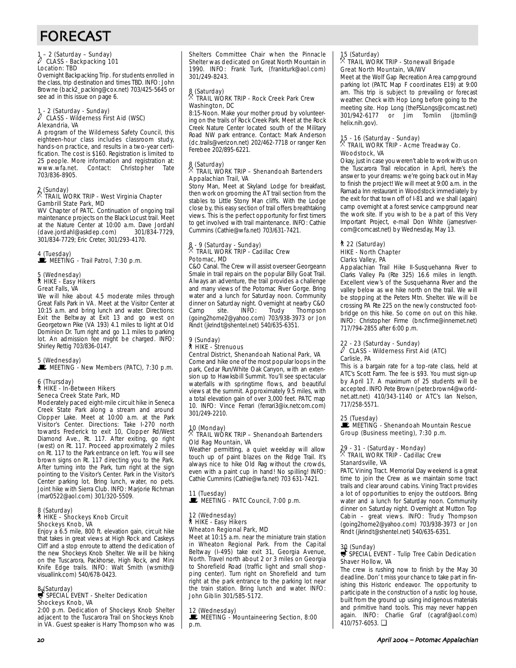### 1 – 2 (Saturday – Sunday) a CLASS - Backpacking 101 Location: TBD

Overnight Backpacking Trip. For students enrolled in the class, trip destination and times TBD. INFO: John Browne (back2\_packing@cox.net) 703/425-5645 or see ad in this issue on page 6.

### 1 - 2 (Saturday - Sunday) a CLASS - Wilderness First Aid (WSC) Alexandria, VA

A program of the Wilderness Safety Council, this eighteen-hour class includes classroom study, hands-on practice, and results in a two-year certification. The cost is \$160. Registration is limited to 25 people. More information and registration at: www.wfa.net. Contact: Christopher Tate 703/836-8905.

### 2 (Sunday) . TRAIL WORK TRIP - West Virginia Chapter Gambrill State Park, MD

WV Chapter of PATC. Continuation of ongoing trail maintenance projects on the Black Locust trail. Meet at the Nature Center at 10:00 a.m. Dave Jordahl<br>(dave iordahl@askdep.com) 301/834-7729 (dave.jordahl@askdep.com) 301/834-7729; Eric Creter, 301/293-4170.

#### 4 (Tuesday)  $\mathbf{\mathbf{\mathbb{P}}}$  MEETING - Trail Patrol, 7:30 p.m.

#### 5 (Wednesday) ` HIKE - Easy Hikers Great Falls, VA

We will hike about 4.5 moderate miles through Great Falls Park in VA. Meet at the Visitor Center at 10:15 a.m. and bring lunch and water. Directions: Exit the Beltway at Exit 13 and go west on Georgetown Pike (VA 193) 4.1 miles to light at Old Dominion Dr. Turn right and go 1.1 miles to parking lot. An admission fee might be charged. INFO: Shirley Rettig 703/836-0147.

5 (Wednesday)<br>█ MEETING - New Members (PATC), 7:30 p.m.

#### 6 (Thursday) ` HIKE - In-Between Hikers Seneca Creek State Park, MD

Moderately paced eight-mile circuit hike in Seneca Creek State Park along a stream and around Clopper Lake. Meet at 10:00 a.m. at the Park Visitor's Center. Directions: Take I-270 north towards Frederick to exit 10, Clopper Rd/West Diamond Ave., Rt. 117. After exiting, go right (west) on Rt. 117. Proceed approximately 2 miles on Rt. 117 to the Park entrance on left. You will see brown signs on Rt. 117 directing you to the Park. After turning into the Park, turn right at the sign pointing to the Visitor's Center. Park in the Visitor's Center parking lot. Bring lunch, water, no pets. Joint hike with Sierra Club. INFO: Marjorie Richman (mar0522@aol.com) 301/320-5509.

### 8 (Saturday) ` HIKE – Shockeys Knob Circuit Shockeys Knob, VA

Enjoy a 6.5 mile, 800 ft. elevation gain, circuit hike that takes in great views at High Rock and Caskeys Cliff and a stop enroute to attend the dedication of the new Shockeys Knob Shelter. We will be hiking on the Tuscarora, Packhorse, High Rock, and Mini Knife Edge trails. INFO: Walt Smith (wsmith@ visuallink.com) 540/678-0423.

### 8 (Saturday)<br>
SPECIAL EVENT - Shelter Dedication Shockeys Knob, VA

2:00 p.m. Dedication of Shockeys Knob Shelter adjacent to the Tuscarora Trail on Shockeys Knob in VA. Guest speaker is Harry Thompson who was Shelters Committee Chair when the Pinnacle Shelter was dedicated on Great North Mountain in 1990. INFO: Frank Turk, (frankturk@aol.com) 301/249-8243.

#### 8 (Saturday) . TRAIL WORK TRIP - Rock Creek Park Crew Washington, DC

8:15-Noon. Make your mother proud by volunteering on the trails of Rock Creek Park. Meet at the Rock Creek Nature Center located south of the Military Road NW park entrance. Contact: Mark Anderson (dc.trails@verizon.net) 202/462-7718 or ranger Ken Ferebee 202/895-6221.

## 8 (Saturday)<br><sup>8</sup> TRA "

#### . TRAIL WORK TRIP – Shenandoah Bartenders Appalachian Trail, VA

Stony Man, Meet at Skyland Lodge for breakfast, then work on grooming the AT trail section from the stables to Little Stony Man cliffs. With the Lodge close by, this easy section of trail offers breathtaking views. This is the perfect opportunity for first timers to get involved with trail maintenance. INFO: Cathie Cummins (Cathie@wfa.net) 703/631-7421.

## 8 - 9 (Saturday - Sunday) . TRAIL WORK TRIP - Cadillac Crew Potomac, MD

C&O Canal. The Crew will assist overseer Georgeann Smale in trail repairs on the popular Billy Goat Trail. Always an adventure, the trail provides a challenge and many views of the Potomac River Gorge. Bring water and a lunch for Saturday noon. Community dinner on Saturday night. Overnight at nearby C&O Camp site. INFO: Trudy Thompson (going2home2@yahoo.com) 703/938-3973 or Jon Rindt (jkrindt@shentel.net) 540/635-6351.

### 9 (Sunday) ` HIKE - Strenuous Central District, Shenandoah National Park, VA

Come and hike one of the most popular loops in the park, Cedar Run/White Oak Canyon, with an extension up to Hawksbill Summit. You'll see spectacular waterfalls with springtime flows, and beautiful views at the summit. Approximately 9.5 miles, with a total elevation gain of over 3,000 feet. PATC map 10. INFO: Vince Ferrari (ferrari3@ix.netcom.com) 301/249-2210.

### 10 (Monday) . TRAIL WORK TRIP – Shenandoah Bartenders Old Rag Mountain, VA

Weather permitting, a quiet weekday will allow touch up of paint blazes on the Ridge Trail. It's always nice to hike Old Rag without the crowds, even with a paint cup in hand! No spilling! INFO: Cathie Cummins (Cathie@wfa.net) 703 631-7421.

11 (Tuesday) MEETING - PATC Council, 7:00 p.m.

#### 12 (Wednesday) ` HIKE - Easy Hikers Wheaton Regional Park, MD

Meet at 10:15 a.m. near the miniature train station in Wheaton Regional Park. From the Capital Beltway (I-495) take exit 31, Georgia Avenue, North. Travel north about 2 or 3 miles on Georgia to Shorefield Road (traffic light and small shopping center). Turn right on Shorefield and turn right at the park entrance to the parking lot near the train station. Bring lunch and water. INFO: John Giblin 301/585-5172.

### 12 (Wednesday)

MEETING - Mountaineering Section, 8:00 p.m.

#### 15 (Saturday) . TRAIL WORK TRIP - Stonewall Brigade

## Great North Mountain, VA/WV

Meet at the Wolf Gap Recreation Area campground parking lot (PATC Map F coordinates E19) at 9:00 am. This trip is subject to prevailing or forecast weather. Check with Hop Long before going to the meeting site. Hop Long (the FSLongs@comcast.net)<br>301/942-6177 or Jim Tomlin (jtomlin@ Jim Tomlin (jtomlin@ helix.nih.gov).

### 15 - 16 (Saturday - Sunday) . TRAIL WORK TRIP - Acme Treadway Co. Woodstock, VA

Okay, just in case you weren't able to work with us on the Tuscarora Trail relocation in April, here's the answer to your dreams: we're going back out in May to finish the project! We will meet at 9:00 a.m. in the Ramada Inn restaurant in Woodstock immediately by the exit for that town off of I-81 and we shall (again) camp overnight at a forest service campground near the work site. If you wish to be a part of this Very Important Project, e-mail Don White (jamesrivercom@comcast.net) by Wednesday, May 13.

#### ` 22 (Saturday) HIKE - North Chapter Clarks Valley, PA

Appalachian Trail Hike II-Susquehanna River to Clarks Valley Pa (Rte 325) 16.6 miles in length. Excellent view's of the Susquehanna River and the valley below as we hike north on the trail. We will be stopping at the Peters Mtn. Shelter. We will be crossing PA Rte 225 on the newly constructed footbridge on this hike. So come on out on this hike. INFO: Christopher Firme (bncfirme@innernet.net) 717/794-2855 after 6:00 p.m.

### 22 - 23 (Saturday - Sunday) a CLASS - Wilderness First Aid (ATC) Carlisle, PA

This is a bargain rate for a top-rate class, held at ATC's Scott Farm. The fee is \$93. You must sign-up by April 17. A maximum of 25 students will be accepted. INFO Pete Brown (peter.brown4@worldnet.att.net) 410/343-1140 or ATC's Ian Nelson, 717/258-5571.

#### 25 (Tuesday)

MEETING - Shenandoah Mountain Rescue Group (Business meeting), 7:30 p.m.

### 29 - 31 - (Saturday - Monday) . TRAIL WORK TRIP - Cadillac Crew Stanardsville, VA

PATC Vining Tract. Memorial Day weekend is a great time to join the Crew as we maintain some tract trails and clear around cabins. Vining Tract provides a lot of opportunities to enjoy the outdoors. Bring water and a lunch for Saturday noon. Community dinner on Saturday night. Overnight at Mutton Top Cabin – great views. INFO: Trudy Thompson (going2home2@yahoo.com) 703/938-3973 or Jon Rindt (jkrindt@shentel.net) 540/635-6351.

### 30 (Sunday)<br>SSPECIAL EVENT - Tulip Tree Cabin Dedication Shaver Hollow, VA

The crew is rushing now to finish by the May 30 deadline. Don' t miss your chance to take part in finishing this Historic endeavor. The opportunity to participate in the construction of a rustic log house, built from the ground up using indigenous materials and primitive hand tools. This may never happen again. INFO: Charlie Graf (cagraf@aol.com) 410/757-6053. ❏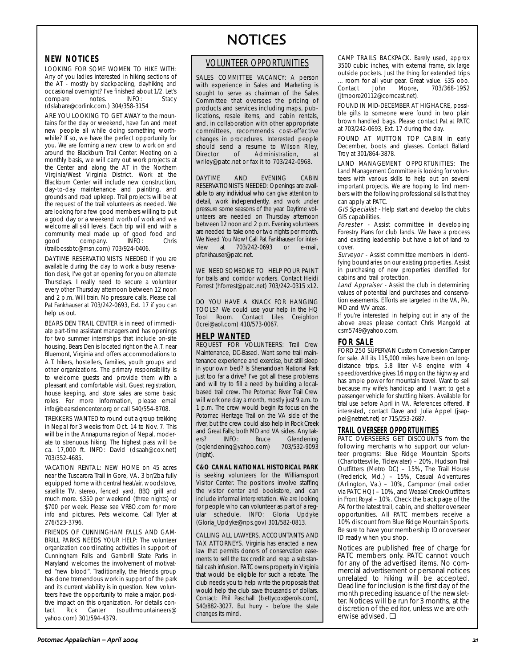### **NEW NOTICES**

LOOKING FOR SOME WOMEN TO HIKE WITH: Any of you ladies interested in hiking sections of the AT - mostly by slackpacking, dayhiking and occasional overnight? I've finished about 1/2. Let's<br>compare notes. INFO: Stacy compare notes. INFO: Stacy (dslabare@corlink.com.) 304/358-3154

ARE YOU LOOKING TO GET AWAY to the mountains for the day or weekend, have fun and meet new people all while doing something worthwhile? If so, we have the perfect opportunity for you. We are forming a new crew to work on and around the Blackburn Trail Center. Meeting on a monthly basis, we will carry out work projects at the Center and along the AT in the Northern Virginia/West Virginia District. Work at the Blackburn Center will include new construction, day-to-day maintenance and painting, and grounds and road upkeep. Trail projects will be at the request of the trail volunteers as needed. We are looking for a few good members willing to put a good day or a weekend worth of work and we welcome all skill levels. Each trip will end with a community meal made up of good food and<br>qood company. INFO: Chris company. (trailbossbtc@msn.com) 703/924-0406.

DAYTIME RESERVATIONISTS NEEDED If you are available during the day to work a busy reservation desk, I've got an opening for you on alternate Thursdays. I really need to secure a volunteer every other Thursday afternoon between 12 noon and 2 p.m. Will train. No pressure calls. Please call Pat Fankhauser at 703/242-0693, Ext. 17 if you can help us out.

BEARS DEN TRAIL CENTER is in need of immediate part-time assistant managers and has openings for two summer internships that include on-site housing. Bears Den is located right on the A.T. near Bluemont, Virginia and offers accommodations to A.T. hikers, hostellers, families, youth groups and other organizations. The primary responsibility is to welcome guests and provide them with a pleasant and comfortable visit. Guest registration, house keeping, and store sales are some basic roles. For more information, please email info@bearsdencenter.org or call 540/554-8708.

TREKKERS WANTED to round out a group trekking in Nepal for 3 weeks from Oct. 14 to Nov. 7. This will be in the Annapurna region of Nepal, moderate to strenuous hiking. The highest pass will be ca. 17,000 ft. INFO: David (dsaah@cox.net) 703/352-4685.

VACATION RENTAL: NEW HOME on 45 acres near the Tuscarora Trail in Gore, VA. 3 br/2ba fully equipped home with central heat/air, woodstove, satellite TV, stereo, fenced yard, BBQ grill and much more. \$350 per weekend (three nights) or \$700 per week. Please see VRBO.com for more info and pictures. Pets welcome. Call Tyler at 276/523-3796.

FRIENDS OF CUNNINGHAM FALLS AND GAM-BRILL PARKS NEEDS YOUR HELP: The volunteer organization coordinating activities in support of Cunningham Falls and Gambrill State Parks in Maryland welcomes the involvement of motivated "new blood". Traditionally, the Friends group has done tremendous work in support of the park and its current viability is in question. New volunteers have the opportunity to make a major, positive impact on this organization. For details con-<br>tact Rick Canter (southmountaineers@ tact Rick Canter (southmountaineers@ yahoo.com) 301/594-4379.

# NOTICES

### VOLUNTEER OPPORTUNITIES

SALES COMMITTEE VACANCY: A person with experience in Sales and Marketing is sought to serve as chairman of the Sales Committee that oversees the pricing of products and services including maps, publications, resale items, and cabin rentals, and, in collaboration with other appropriate committees, recommends cost-effective changes in procedures. Interested people should send a resume to Wilson Riley,<br>Director of Administration, at Administration, at wriley@patc.net or fax it to 703/242-0968.

DAYTIME AND EVENING CABIN RESERVATIONISTS NEEDED: Openings are available to any individual who can give attention to detail, work independently, and work under pressure some seasons of the year. Daytime volunteers are needed on Thursday afternoon between 12 noon and 2 p.m. Evening volunteers are needed to take one or two nights per month. We Need You Now! Call Pat Fankhauser for interview at 703/242-0693 or e-mail, pfankhauser@patc.net.

WE NEED SOMEONE TO HELP POUR PAINT for trails and corridor workers. Contact Heidi Forrest (hforrest@patc.net) 703/242-0315 x12.

DO YOU HAVE A KNACK FOR HANGING TOOLS? We could use your help in the HQ Tool Room. Contact Liles Creighton (lcrei@aol.com) 410/573-0067.

### **HELP WANTED**

REQUEST FOR VOLUNTEERS: Trail Crew Maintenance, DC-Based. Want some trail maintenance experience and exercise, but still sleep in your own bed? Is Shenandoah National Park just too far a drive? I've got all these problems and will try to fill a need by building a localbased trail crew. The Potomac River Trail Crew will work one day a month, mostly just 9 a.m. to 1 p.m. The crew would begin its focus on the Potomac Heritage Trail on the VA side of the river, but the crew could also help in Rock Creek and Great Falls; both MD and VA sides. Any takers? INFO: Bruce Glendening (bglendening@yahoo.com) 703/532-9093 (night).

**C&O CANAL NATIONAL HISTORICAL PARK** is seeking volunteers for the Williamsport Visitor Center. The positions involve staffing the visitor center and bookstore, and can include informal interpretation. We are looking for people who can volunteer as part of a regular schedule. INFO: Gloria Updyke (Gloria\_Updyke@nps.gov) 301/582-0813.

CALLING ALL LAWYERS, ACCOUNTANTS AND TAX ATTORNEYS. Virginia has enacted a new law that permits donors of conservation easements to sell the tax credit and reap a substantial cash infusion. PATC owns property in Virginia that would be eligible for such a rebate. The club needs you to help write the proposals that would help the club save thousands of dollars. Contact: Phil Paschall (bettycox@erols.com), 540/882-3027. But hurry – before the state changes its mind.

CAMP TRAILS BACKPACK. Barely used, approx 3500 cubic inches, with external frame, six large outside pockets. Just the thing for extended trips ... room for all your gear. Great value. \$35 obo. Contact John (jtmoore20112@comcast.net).

FOUND IN MID-DECEMBER AT HIGHACRE, possible gifts to someone were found in two plain brown handled bags. Please contact Pat at PATC at 703/242-0693, Ext. 17 during the day.

FOUND AT MUTTON TOP CABIN in early December, boots and glasses. Contact Ballard Troy at 301/864-3878.

LAND MANAGEMENT OPPORTUNITIES: The Land Management Committee is looking for volunteers with various skills to help out on several important projects. We are hoping to find members with the following professional skills that they can apply at PATC.

**GIS Specialist** - Help start and develop the clubs GIS capabilities.

**Forester** - Assist committee in developing Forestry Plans for club lands. We have a process and existing leadership but have a lot of land to cover.

Surveyor - Assist committee members in identifying boundaries on our existing properties. Assist in purchasing of new properties identified for cabins and trail protection.

Land Appraiser - Assist the club in determining values of potential land purchases and conservation easements. Efforts are targeted in the VA, PA, MD and WV areas.

If you're interested in helping out in any of the above areas please contact Chris Mangold at csm5749@yahoo.com.

#### **FOR SALE**

FORD 250 SUPERVAN Custom Conversion Camper for sale. All its 115,000 miles have been on longdistance trips. 5.8 liter V-8 engine with 4 speed/overdrive gives 16 mpg on the highway and has ample power for mountain travel. Want to sell because my wife's handicap and I want to get a passenger vehicle for shuttling hikers. Available for trial use before April in VA. References offered. If interested, contact Dave and Julia Appel (jsappel@netnet.net) or 715/253-2687.

#### **TRAIL OVERSEER OPPORTUNITIES**

PATC OVERSEERS GET DISCOUNTS from the following merchants who support our volunteer programs: Blue Ridge Mountain Sports (Charlottesville, Tidewater) – 20%, Hudson Trail Outfitters (Metro DC) – 15%, The Trail House (Frederick, Md.) – 15%, Casual Adventures (Arlington, Va.) – 10%, Campmor (mail order via PATC HQ) – 10%, and Weasel Creek Outfitters in Front Royal – 10%. Check the back page of the PA for the latest trail, cabin, and shelter overseer opportunities. All PATC members receive a 10% discount from Blue Ridge Mountain Sports. Be sure to have your membership ID or overseer ID ready when you shop.

Notices are published free of charge for PATC members only. PATC cannot vouch for any of the advertised items. No commercial advertisement or personal notices unrelated to hiking will be accepted. Deadline for inclusion is the first day of the month preceding issuance of the newsletter. Notices will be run for 3 months, at the discretion of the editor, unless we are otherwise advised. ❏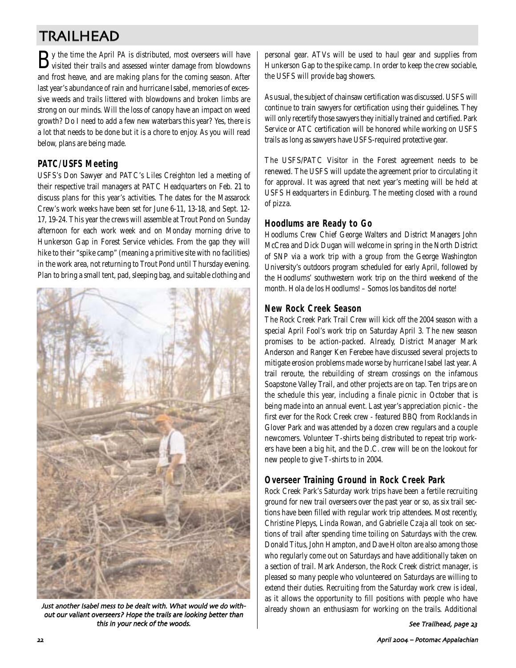# TRAILHEAD

 $\mathbf{B}$ y the time the April *PA* is distributed, most overseers will have visited their trails and assessed winter damage from blowdowns and frost heave, and are making plans for the coming season. After last year's abundance of rain and hurricane Isabel, memories of excessive weeds and trails littered with blowdowns and broken limbs are strong on our minds. Will the loss of canopy have an impact on weed growth? Do I need to add a few new waterbars this year? Yes, there is a lot that needs to be done but it is a chore to enjoy. As you will read below, plans are being made.

### **PATC/USFS Meeting**

USFS's Don Sawyer and PATC's Liles Creighton led a meeting of their respective trail managers at PATC Headquarters on Feb. 21 to discuss plans for this year's activities. The dates for the Massarock Crew's work weeks have been set for June 6-11, 13-18, and Sept. 12- 17, 19-24. This year the crews will assemble at Trout Pond on Sunday afternoon for each work week and on Monday morning drive to Hunkerson Gap in Forest Service vehicles. From the gap they will hike to their "spike camp" (meaning a primitive site with no facilities) in the work area, not returning to Trout Pond until Thursday evening. Plan to bring a small tent, pad, sleeping bag, and suitable clothing and



Just another Isabel mess to be dealt with. What would we do without our valiant overseers? Hope the trails are looking better than this in your neck of the woods

personal gear. ATVs will be used to haul gear and supplies from Hunkerson Gap to the spike camp. In order to keep the crew sociable, the USFS will provide bag showers.

As usual, the subject of chainsaw certification was discussed. USFS will continue to train sawyers for certification using their guidelines. They will only recertify those sawyers they initially trained and certified. Park Service or ATC certification will be honored while working on USFS trails as long as sawyers have USFS-required protective gear.

The USFS/PATC Visitor in the Forest agreement needs to be renewed. The USFS will update the agreement prior to circulating it for approval. It was agreed that next year's meeting will be held at USFS Headquarters in Edinburg. The meeting closed with a round of pizza.

### **Hoodlums are Ready to Go**

Hoodlums Crew Chief George Walters and District Managers John McCrea and Dick Dugan will welcome in spring in the North District of SNP via a work trip with a group from the George Washington University's outdoors program scheduled for early April, followed by the Hoodlums' southwestern work trip on the third weekend of the month. Hola de los Hoodlums! – Somos los banditos del norte!

### **New Rock Creek Season**

The Rock Creek Park Trail Crew will kick off the 2004 season with a special April Fool's work trip on Saturday April 3. The new season promises to be action-packed. Already, District Manager Mark Anderson and Ranger Ken Ferebee have discussed several projects to mitigate erosion problems made worse by hurricane Isabel last year. A trail reroute, the rebuilding of stream crossings on the infamous Soapstone Valley Trail, and other projects are on tap. Ten trips are on the schedule this year, including a finale picnic in October that is being made into an annual event. Last year's appreciation picnic - the first ever for the Rock Creek crew - featured BBQ from Rocklands in Glover Park and was attended by a dozen crew regulars and a couple newcomers. Volunteer T-shirts being distributed to repeat trip workers have been a big hit, and the D.C. crew will be on the lookout for new people to give T-shirts to in 2004.

### **Overseer Training Ground in Rock Creek Park**

Rock Creek Park's Saturday work trips have been a fertile recruiting ground for new trail overseers over the past year or so, as six trail sections have been filled with regular work trip attendees. Most recently, Christine Plepys, Linda Rowan, and Gabrielle Czaja all took on sections of trail after spending time toiling on Saturdays with the crew. Donald Titus, John Hampton, and Dave Holton are also among those who regularly come out on Saturdays and have additionally taken on a section of trail. Mark Anderson, the Rock Creek district manager, is pleased so many people who volunteered on Saturdays are willing to extend their duties. Recruiting from the Saturday work crew is ideal, as it allows the opportunity to fill positions with people who have already shown an enthusiasm for working on the trails. Additional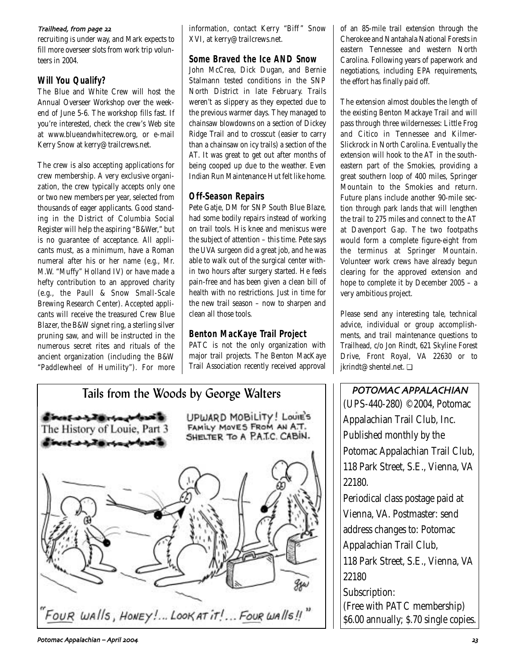#### Trailhead, from page 22

recruiting is under way, and Mark expects to fill more overseer slots from work trip volunteers in 2004.

### **Will You Qualify?**

The Blue and White Crew will host the Annual Overseer Workshop over the weekend of June 5-6. The workshop fills fast. If you're interested, check the crew's Web site at www.blueandwhitecrew.org, or e-mail Kerry Snow at kerry@trailcrews.net.

The crew is also accepting applications for crew membership. A very exclusive organization, the crew typically accepts only one or two new members per year, selected from thousands of eager applicants. Good standing in the District of Columbia Social Register will help the aspiring "B&Wer," but is no guarantee of acceptance. All applicants must, as a minimum, have a Roman numeral after his or her name (e.g., Mr. M.W. "Muffy" Holland IV) or have made a hefty contribution to an approved charity (e.g., the Paull & Snow Small-Scale Brewing Research Center). Accepted applicants will receive the treasured Crew Blue Blazer, the B&W signet ring, a sterling silver pruning saw, and will be instructed in the numerous secret rites and rituals of the ancient organization (including the B&W "Paddlewheel of Humility"). For more information, contact Kerry "Biff " Snow XVI, at kerry@trailcrews.net.

### **Some Braved the Ice AND Snow**

John McCrea, Dick Dugan, and Bernie Stalmann tested conditions in the SNP North District in late February. Trails weren't as slippery as they expected due to the previous warmer days. They managed to chainsaw blowdowns on a section of Dickey Ridge Trail and to crosscut (easier to carry than a chainsaw on icy trails) a section of the AT. It was great to get out after months of being cooped up due to the weather. Even Indian Run Maintenance Hut felt like home.

### **Off-Season Repairs**

Pete Gatje, DM for SNP South Blue Blaze, had some bodily repairs instead of working on trail tools. His knee and meniscus were the subject of attention – this time. Pete says the UVA surgeon did a great job, and he was able to walk out of the surgical center within two hours after surgery started. He feels pain-free and has been given a clean bill of health with no restrictions. Just in time for the new trail season – now to sharpen and clean all those tools.

### **Benton MacKaye Trail Project**

PATC is not the only organization with major trail projects. The Benton MacKaye Trail Association recently received approval



of an 85-mile trail extension through the Cherokee and Nantahala National Forests in eastern Tennessee and western North Carolina. Following years of paperwork and negotiations, including EPA requirements, the effort has finally paid off.

The extension almost doubles the length of the existing Benton Mackaye Trail and will pass through three wildernesses: Little Frog and Citico in Tennessee and Kilmer-Slickrock in North Carolina. Eventually the extension will hook to the AT in the southeastern part of the Smokies, providing a great southern loop of 400 miles, Springer Mountain to the Smokies and return. Future plans include another 90-mile section through park lands that will lengthen the trail to 275 miles and connect to the AT at Davenport Gap. The two footpaths would form a complete figure-eight from the terminus at Springer Mountain. Volunteer work crews have already begun clearing for the approved extension and hope to complete it by December 2005 – a very ambitious project.

Please send any interesting tale, technical advice, individual or group accomplishments, and trail maintenance questions to Trailhead, c/o Jon Rindt, 621 Skyline Forest Drive, Front Royal, VA 22630 or to jkrindt@shentel.net. ❏

POTOMAC APPALACHIAN (UPS-440-280) ©2004, Potomac Appalachian Trail Club, Inc. Published monthly by the Potomac Appalachian Trail Club, 118 Park Street, S.E., Vienna, VA 22180.

Periodical class postage paid at Vienna, VA. Postmaster: send address changes to: Potomac Appalachian Trail Club, 118 Park Street, S.E., Vienna, VA

22180

Subscription: (Free with PATC membership) \$6.00 annually; \$.70 single copies.

Potomac Appalachian – April